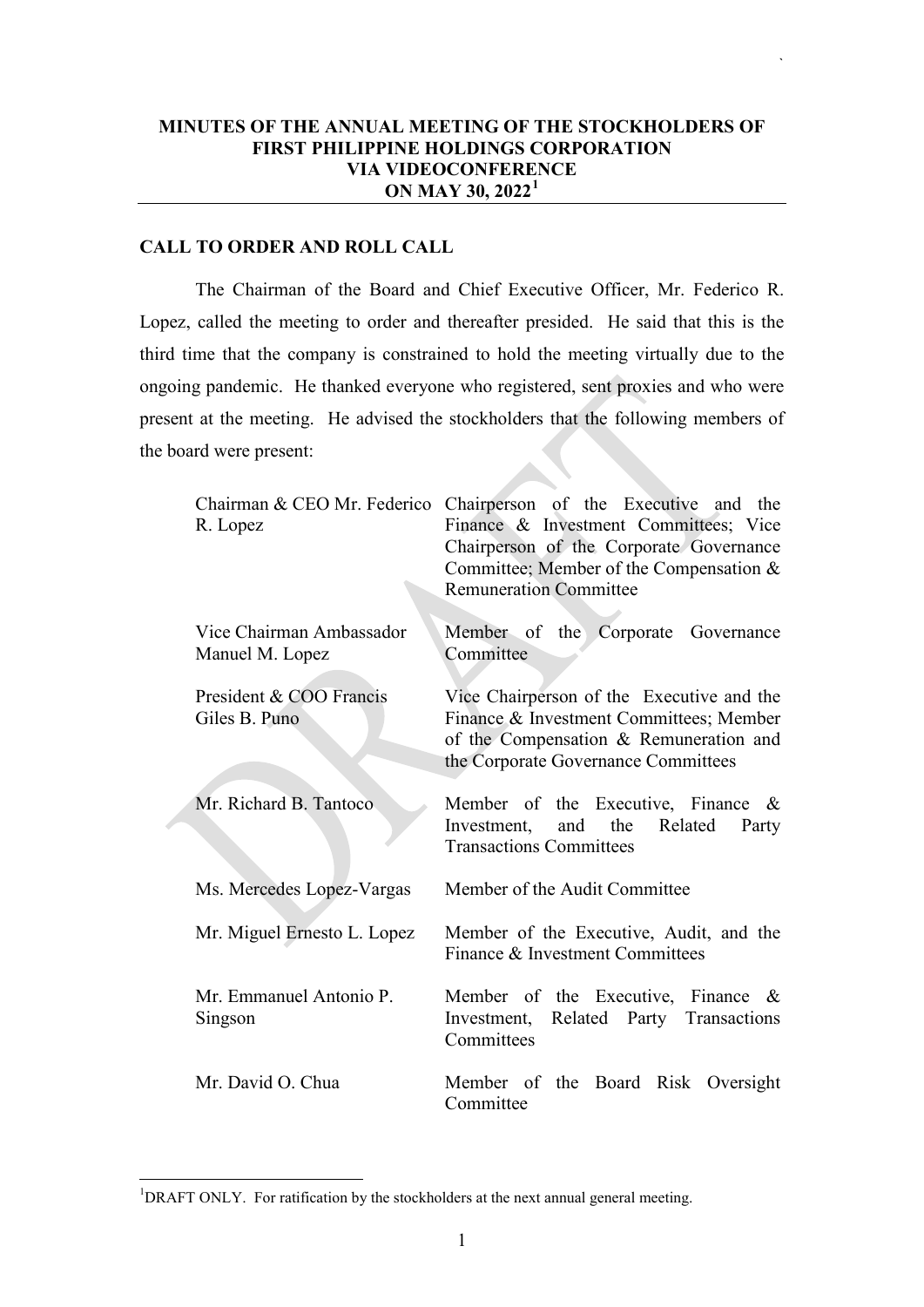## **MINUTES OF THE ANNUAL MEETING OF THE STOCKHOLDERS OF FIRST PHILIPPINE HOLDINGS CORPORATION VIA VIDEOCONFERENCE ON MAY 30, 2022[1](#page-0-0)**

`

# **CALL TO ORDER AND ROLL CALL**

The Chairman of the Board and Chief Executive Officer, Mr. Federico R. Lopez, called the meeting to order and thereafter presided. He said that this is the third time that the company is constrained to hold the meeting virtually due to the ongoing pandemic. He thanked everyone who registered, sent proxies and who were present at the meeting. He advised the stockholders that the following members of the board were present:

| R. Lopez                                    | Chairman & CEO Mr. Federico Chairperson of the Executive and the<br>Finance & Investment Committees; Vice<br>Chairperson of the Corporate Governance<br>Committee; Member of the Compensation $&$<br><b>Remuneration Committee</b> |
|---------------------------------------------|------------------------------------------------------------------------------------------------------------------------------------------------------------------------------------------------------------------------------------|
| Vice Chairman Ambassador<br>Manuel M. Lopez | Member of the Corporate Governance<br>Committee                                                                                                                                                                                    |
| President & COO Francis<br>Giles B. Puno    | Vice Chairperson of the Executive and the<br>Finance & Investment Committees; Member<br>of the Compensation & Remuneration and<br>the Corporate Governance Committees                                                              |
| Mr. Richard B. Tantoco                      | Member of the Executive, Finance $\&$<br>the<br>Related<br>Investment,<br>and<br>Party<br><b>Transactions Committees</b>                                                                                                           |
| Ms. Mercedes Lopez-Vargas                   | Member of the Audit Committee                                                                                                                                                                                                      |
| Mr. Miguel Ernesto L. Lopez                 | Member of the Executive, Audit, and the<br>Finance & Investment Committees                                                                                                                                                         |
| Mr. Emmanuel Antonio P.<br>Singson          | Member of the Executive, Finance $\&$<br>Investment, Related Party Transactions<br>Committees                                                                                                                                      |
| Mr. David O. Chua                           | Member of the Board Risk Oversight<br>Committee                                                                                                                                                                                    |

<span id="page-0-0"></span> $\frac{1}{1}$ <sup>1</sup>DRAFT ONLY. For ratification by the stockholders at the next annual general meeting.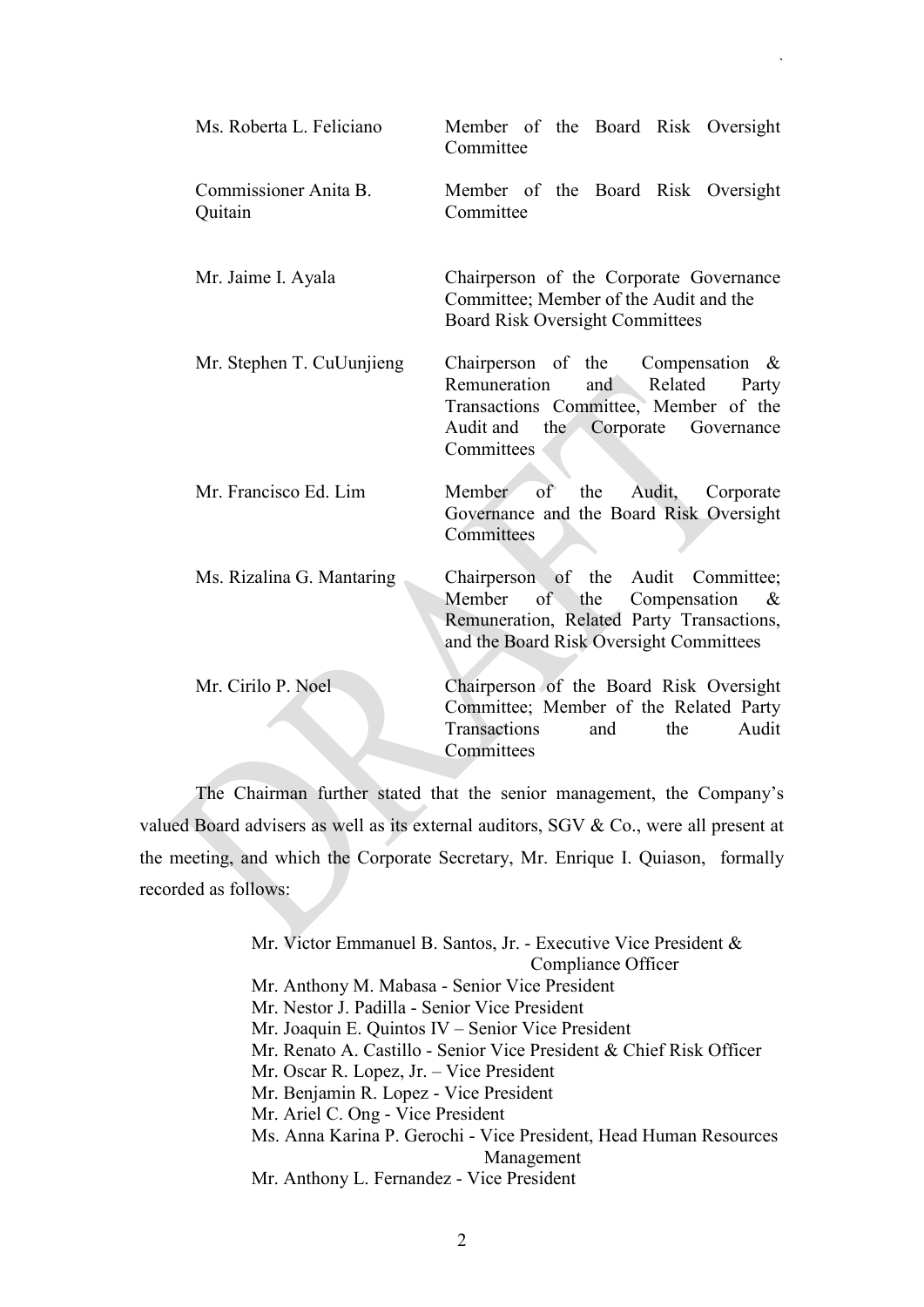| Ms. Roberta L. Feliciano         | Member of the Board Risk Oversight<br>Committee                                                                                                                           |
|----------------------------------|---------------------------------------------------------------------------------------------------------------------------------------------------------------------------|
| Commissioner Anita B.<br>Quitain | Member of the Board Risk Oversight<br>Committee                                                                                                                           |
| Mr. Jaime I. Ayala               | Chairperson of the Corporate Governance<br>Committee; Member of the Audit and the<br><b>Board Risk Oversight Committees</b>                                               |
| Mr. Stephen T. CuUunjieng        | Chairperson of the Compensation $\&$<br>Remuneration<br>and Related<br>Party<br>Transactions Committee, Member of the<br>Audit and the Corporate Governance<br>Committees |
| Mr. Francisco Ed. Lim            | the Audit, Corporate<br>Member of<br>Governance and the Board Risk Oversight<br>Committees                                                                                |
| Ms. Rizalina G. Mantaring        | Chairperson of the Audit Committee;<br>Member of the Compensation<br>&<br>Remuneration, Related Party Transactions,<br>and the Board Risk Oversight Committees            |
| Mr. Cirilo P. Noel               | Chairperson of the Board Risk Oversight<br>Committee; Member of the Related Party<br>Transactions<br>the<br>Audit<br>and<br>Committees                                    |

`

The Chairman further stated that the senior management, the Company's valued Board advisers as well as its external auditors, SGV & Co., were all present at the meeting, and which the Corporate Secretary, Mr. Enrique I. Quiason, formally recorded as follows:

> Mr. Victor Emmanuel B. Santos, Jr. - Executive Vice President & Compliance Officer Mr. Anthony M. Mabasa - Senior Vice President Mr. Nestor J. Padilla - Senior Vice President Mr. Joaquin E. Quintos IV – Senior Vice President Mr. Renato A. Castillo - Senior Vice President & Chief Risk Officer Mr. Oscar R. Lopez, Jr. – Vice President Mr. Benjamin R. Lopez - Vice President Mr. Ariel C. Ong - Vice President Ms. Anna Karina P. Gerochi - Vice President, Head Human Resources Management Mr. Anthony L. Fernandez - Vice President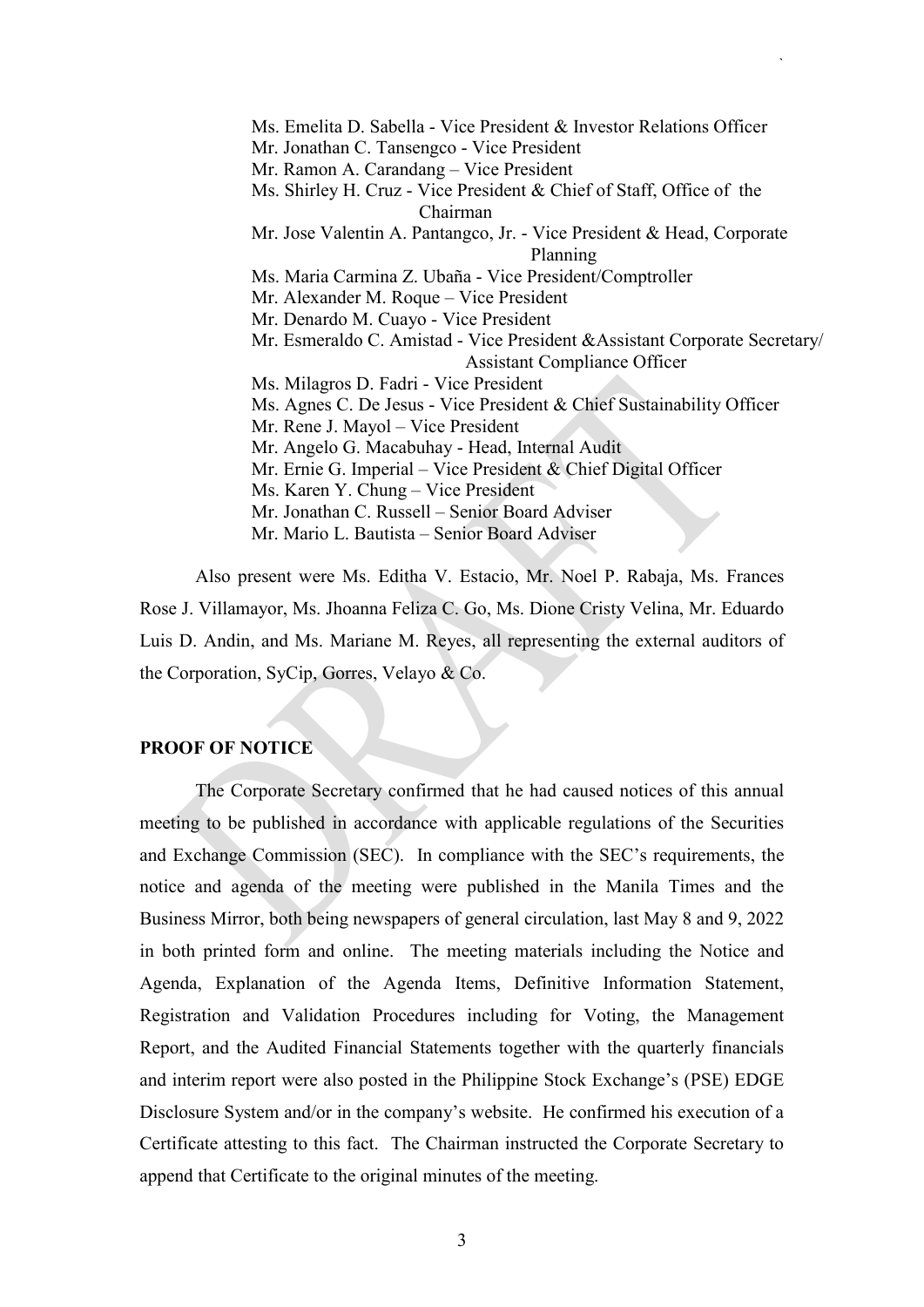Ms. Emelita D. Sabella - Vice President & Investor Relations Officer Mr. Jonathan C. Tansengco - Vice President Mr. Ramon A. Carandang – Vice President Ms. Shirley H. Cruz - Vice President & Chief of Staff, Office of the Chairman Mr. Jose Valentin A. Pantangco, Jr. - Vice President & Head, Corporate Planning Ms. Maria Carmina Z. Ubaña - Vice President/Comptroller Mr. Alexander M. Roque – Vice President Mr. Denardo M. Cuayo - Vice President Mr. Esmeraldo C. Amistad - Vice President &Assistant Corporate Secretary/ Assistant Compliance Officer Ms. Milagros D. Fadri - Vice President Ms. Agnes C. De Jesus - Vice President & Chief Sustainability Officer Mr. Rene J. Mayol – Vice President Mr. Angelo G. Macabuhay - Head, Internal Audit Mr. Ernie G. Imperial – Vice President & Chief Digital Officer Ms. Karen Y. Chung – Vice President Mr. Jonathan C. Russell – Senior Board Adviser Mr. Mario L. Bautista – Senior Board Adviser

`

Also present were Ms. Editha V. Estacio, Mr. Noel P. Rabaja, Ms. Frances Rose J. Villamayor, Ms. Jhoanna Feliza C. Go, Ms. Dione Cristy Velina, Mr. Eduardo Luis D. Andin, and Ms. Mariane M. Reyes, all representing the external auditors of the Corporation, SyCip, Gorres, Velayo & Co.

#### **PROOF OF NOTICE**

The Corporate Secretary confirmed that he had caused notices of this annual meeting to be published in accordance with applicable regulations of the Securities and Exchange Commission (SEC). In compliance with the SEC's requirements, the notice and agenda of the meeting were published in the Manila Times and the Business Mirror, both being newspapers of general circulation, last May 8 and 9, 2022 in both printed form and online. The meeting materials including the Notice and Agenda, Explanation of the Agenda Items, Definitive Information Statement, Registration and Validation Procedures including for Voting, the Management Report, and the Audited Financial Statements together with the quarterly financials and interim report were also posted in the Philippine Stock Exchange's (PSE) EDGE Disclosure System and/or in the company's website. He confirmed his execution of a Certificate attesting to this fact. The Chairman instructed the Corporate Secretary to append that Certificate to the original minutes of the meeting.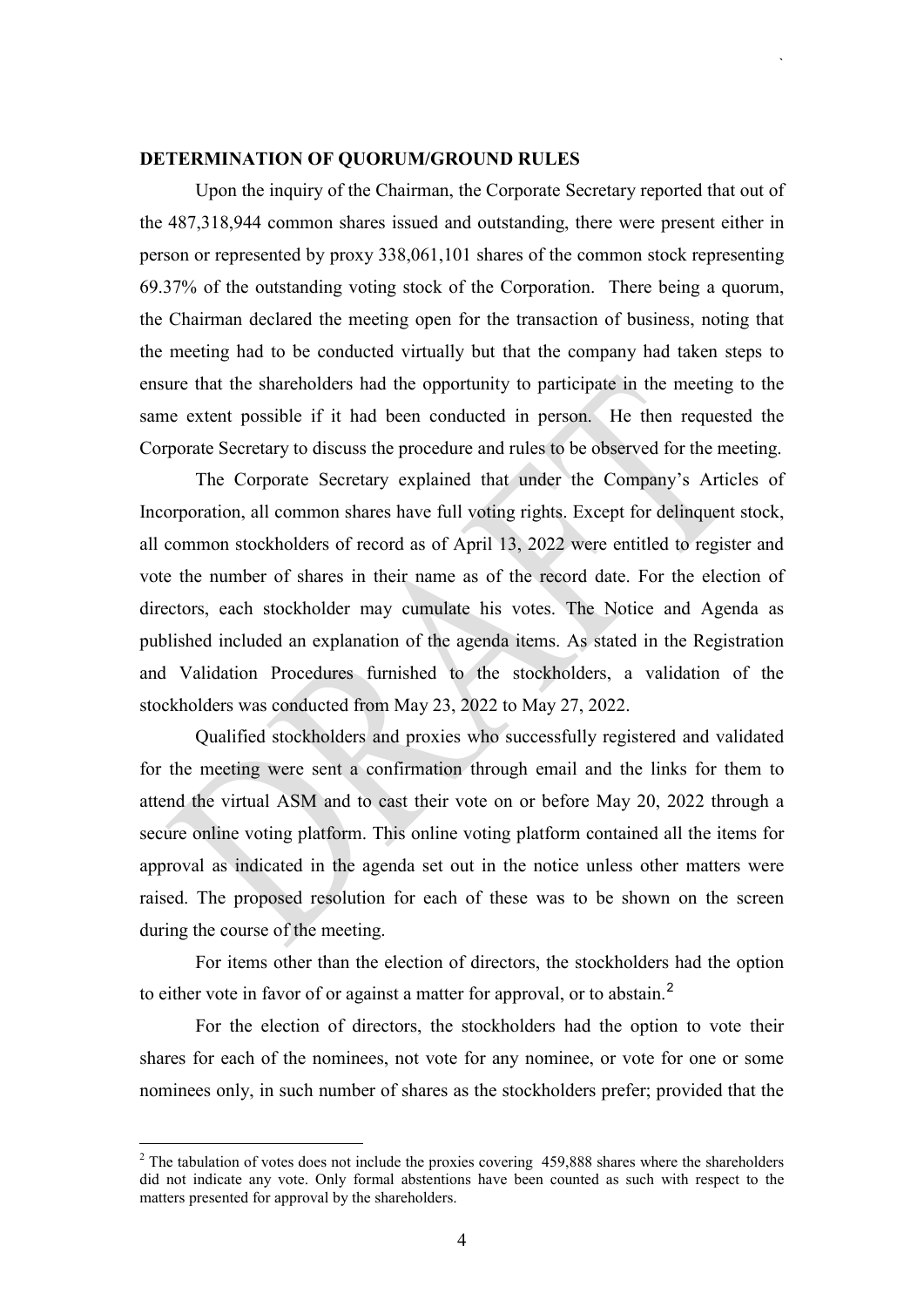#### **DETERMINATION OF QUORUM/GROUND RULES**

Upon the inquiry of the Chairman, the Corporate Secretary reported that out of the 487,318,944 common shares issued and outstanding, there were present either in person or represented by proxy 338,061,101 shares of the common stock representing 69.37% of the outstanding voting stock of the Corporation. There being a quorum, the Chairman declared the meeting open for the transaction of business, noting that the meeting had to be conducted virtually but that the company had taken steps to ensure that the shareholders had the opportunity to participate in the meeting to the same extent possible if it had been conducted in person. He then requested the Corporate Secretary to discuss the procedure and rules to be observed for the meeting.

`

The Corporate Secretary explained that under the Company's Articles of Incorporation, all common shares have full voting rights. Except for delinquent stock, all common stockholders of record as of April 13, 2022 were entitled to register and vote the number of shares in their name as of the record date. For the election of directors, each stockholder may cumulate his votes. The Notice and Agenda as published included an explanation of the agenda items. As stated in the Registration and Validation Procedures furnished to the stockholders, a validation of the stockholders was conducted from May 23, 2022 to May 27, 2022.

Qualified stockholders and proxies who successfully registered and validated for the meeting were sent a confirmation through email and the links for them to attend the virtual ASM and to cast their vote on or before May 20, 2022 through a secure online voting platform. This online voting platform contained all the items for approval as indicated in the agenda set out in the notice unless other matters were raised. The proposed resolution for each of these was to be shown on the screen during the course of the meeting.

For items other than the election of directors, the stockholders had the option to either vote in favor of or against a matter for approval, or to abstain.<sup>[2](#page-3-0)</sup>

For the election of directors, the stockholders had the option to vote their shares for each of the nominees, not vote for any nominee, or vote for one or some nominees only, in such number of shares as the stockholders prefer; provided that the

<span id="page-3-0"></span> $2$  The tabulation of votes does not include the proxies covering 459,888 shares where the shareholders did not indicate any vote. Only formal abstentions have been counted as such with respect to the matters presented for approval by the shareholders.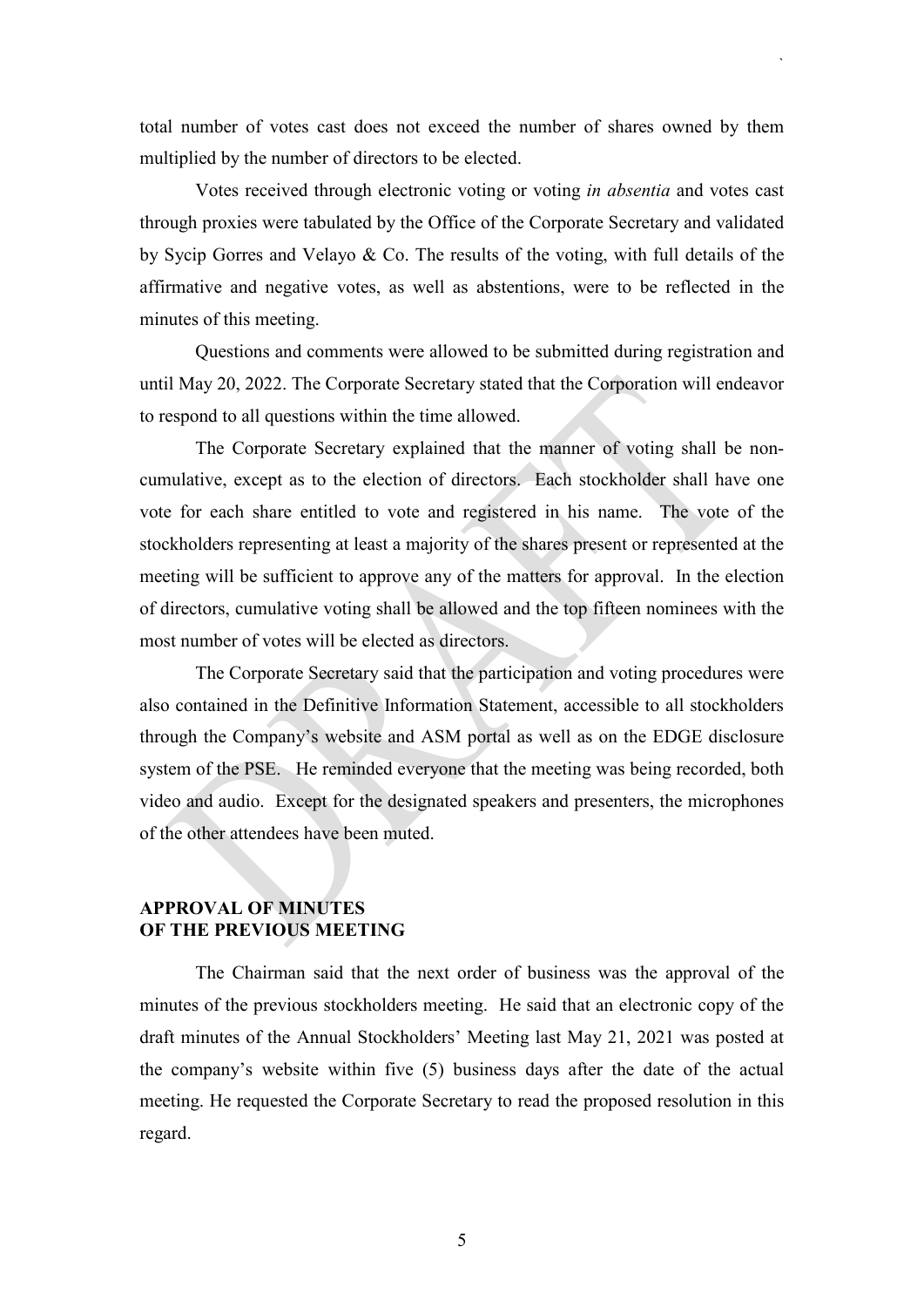total number of votes cast does not exceed the number of shares owned by them multiplied by the number of directors to be elected.

`

Votes received through electronic voting or voting *in absentia* and votes cast through proxies were tabulated by the Office of the Corporate Secretary and validated by Sycip Gorres and Velayo & Co. The results of the voting, with full details of the affirmative and negative votes, as well as abstentions, were to be reflected in the minutes of this meeting.

Questions and comments were allowed to be submitted during registration and until May 20, 2022. The Corporate Secretary stated that the Corporation will endeavor to respond to all questions within the time allowed.

The Corporate Secretary explained that the manner of voting shall be noncumulative, except as to the election of directors. Each stockholder shall have one vote for each share entitled to vote and registered in his name. The vote of the stockholders representing at least a majority of the shares present or represented at the meeting will be sufficient to approve any of the matters for approval. In the election of directors, cumulative voting shall be allowed and the top fifteen nominees with the most number of votes will be elected as directors.

The Corporate Secretary said that the participation and voting procedures were also contained in the Definitive Information Statement, accessible to all stockholders through the Company's website and ASM portal as well as on the EDGE disclosure system of the PSE. He reminded everyone that the meeting was being recorded, both video and audio. Except for the designated speakers and presenters, the microphones of the other attendees have been muted.

## **APPROVAL OF MINUTES OF THE PREVIOUS MEETING**

The Chairman said that the next order of business was the approval of the minutes of the previous stockholders meeting. He said that an electronic copy of the draft minutes of the Annual Stockholders' Meeting last May 21, 2021 was posted at the company's website within five (5) business days after the date of the actual meeting. He requested the Corporate Secretary to read the proposed resolution in this regard.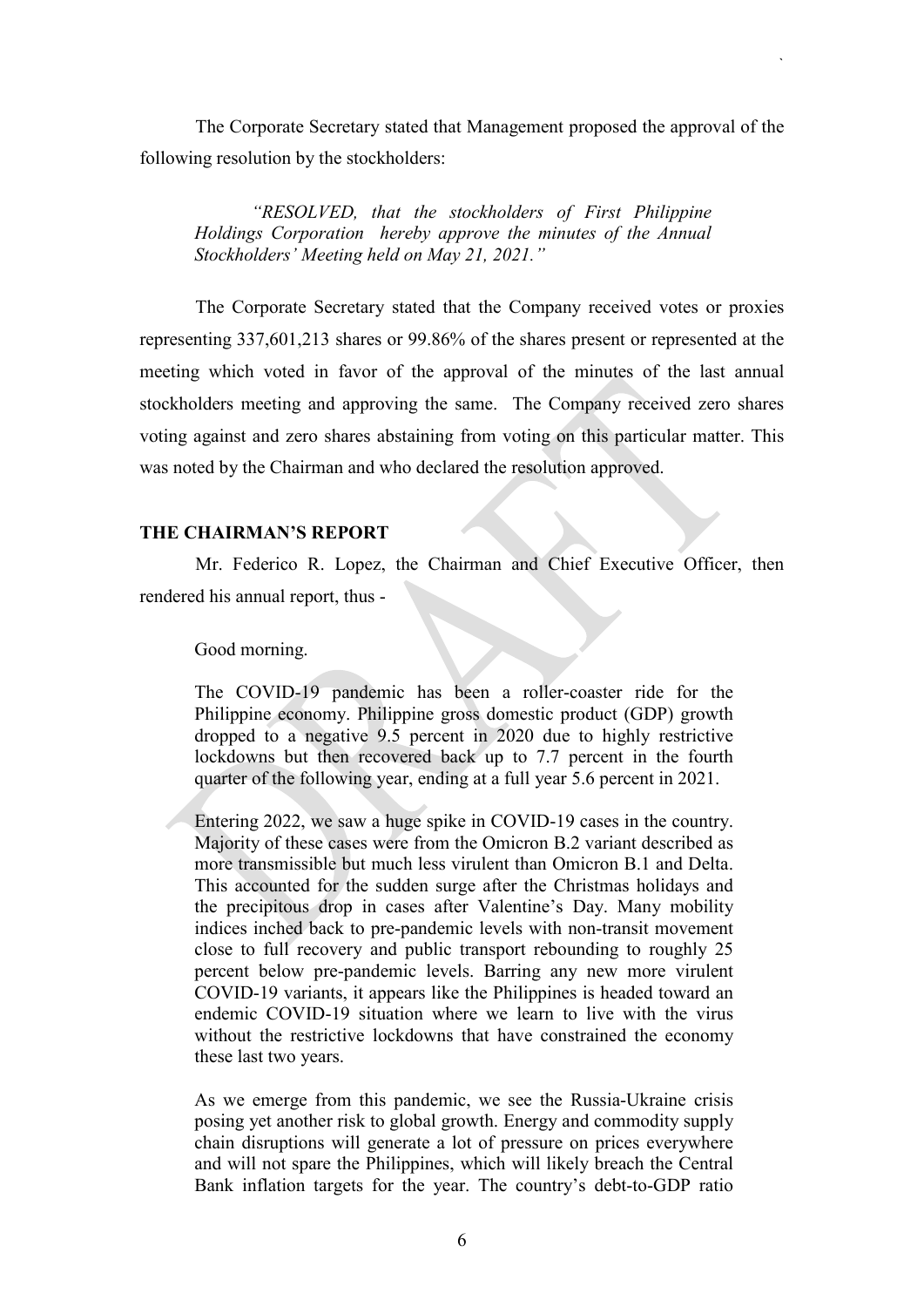The Corporate Secretary stated that Management proposed the approval of the following resolution by the stockholders:

`

*"RESOLVED, that the stockholders of First Philippine Holdings Corporation hereby approve the minutes of the Annual Stockholders' Meeting held on May 21, 2021."*

The Corporate Secretary stated that the Company received votes or proxies representing 337,601,213 shares or 99.86% of the shares present or represented at the meeting which voted in favor of the approval of the minutes of the last annual stockholders meeting and approving the same. The Company received zero shares voting against and zero shares abstaining from voting on this particular matter. This was noted by the Chairman and who declared the resolution approved.

#### **THE CHAIRMAN'S REPORT**

Mr. Federico R. Lopez, the Chairman and Chief Executive Officer, then rendered his annual report, thus -

Good morning.

The COVID-19 pandemic has been a roller-coaster ride for the Philippine economy. Philippine gross domestic product (GDP) growth dropped to a negative 9.5 percent in 2020 due to highly restrictive lockdowns but then recovered back up to 7.7 percent in the fourth quarter of the following year, ending at a full year 5.6 percent in 2021.

Entering 2022, we saw a huge spike in COVID-19 cases in the country. Majority of these cases were from the Omicron B.2 variant described as more transmissible but much less virulent than Omicron B.1 and Delta. This accounted for the sudden surge after the Christmas holidays and the precipitous drop in cases after Valentine's Day. Many mobility indices inched back to pre-pandemic levels with non-transit movement close to full recovery and public transport rebounding to roughly 25 percent below pre-pandemic levels. Barring any new more virulent COVID-19 variants, it appears like the Philippines is headed toward an endemic COVID-19 situation where we learn to live with the virus without the restrictive lockdowns that have constrained the economy these last two years.

As we emerge from this pandemic, we see the Russia-Ukraine crisis posing yet another risk to global growth. Energy and commodity supply chain disruptions will generate a lot of pressure on prices everywhere and will not spare the Philippines, which will likely breach the Central Bank inflation targets for the year. The country's debt-to-GDP ratio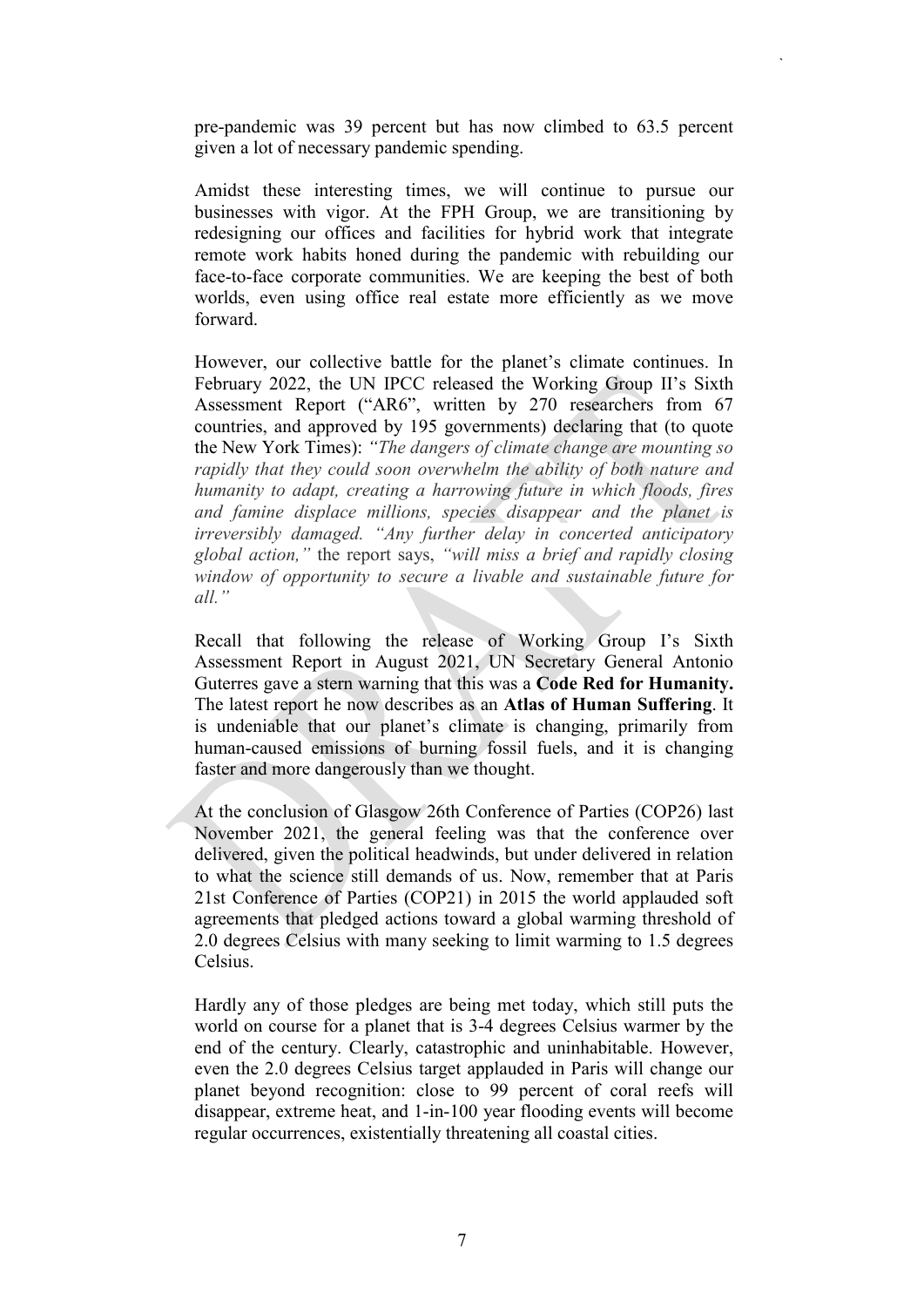pre-pandemic was 39 percent but has now climbed to 63.5 percent given a lot of necessary pandemic spending.

`

Amidst these interesting times, we will continue to pursue our businesses with vigor. At the FPH Group, we are transitioning by redesigning our offices and facilities for hybrid work that integrate remote work habits honed during the pandemic with rebuilding our face-to-face corporate communities. We are keeping the best of both worlds, even using office real estate more efficiently as we move forward.

However, our collective battle for the planet's climate continues. In February 2022, the UN IPCC released the Working Group II's Sixth Assessment Report ("AR6", written by 270 researchers from 67 countries, and approved by 195 governments) declaring that (to quote the New York Times): *"The dangers of climate change are mounting so rapidly that they could soon overwhelm the ability of both nature and humanity to adapt, creating a harrowing future in which floods, fires and famine displace millions, species disappear and the planet is irreversibly damaged. "Any further delay in concerted anticipatory global action,"* the report says, *"will miss a brief and rapidly closing window of opportunity to secure a livable and sustainable future for all."* 

Recall that following the release of Working Group I's Sixth Assessment Report in August 2021, UN Secretary General Antonio Guterres gave a stern warning that this was a **Code Red for Humanity.** The latest report he now describes as an **Atlas of Human Suffering**. It is undeniable that our planet's climate is changing, primarily from human-caused emissions of burning fossil fuels, and it is changing faster and more dangerously than we thought.

At the conclusion of Glasgow 26th Conference of Parties (COP26) last November 2021, the general feeling was that the conference over delivered, given the political headwinds, but under delivered in relation to what the science still demands of us. Now, remember that at Paris 21st Conference of Parties (COP21) in 2015 the world applauded soft agreements that pledged actions toward a global warming threshold of 2.0 degrees Celsius with many seeking to limit warming to 1.5 degrees Celsius.

Hardly any of those pledges are being met today, which still puts the world on course for a planet that is 3-4 degrees Celsius warmer by the end of the century. Clearly, catastrophic and uninhabitable. However, even the 2.0 degrees Celsius target applauded in Paris will change our planet beyond recognition: close to 99 percent of coral reefs will disappear, extreme heat, and 1-in-100 year flooding events will become regular occurrences, existentially threatening all coastal cities.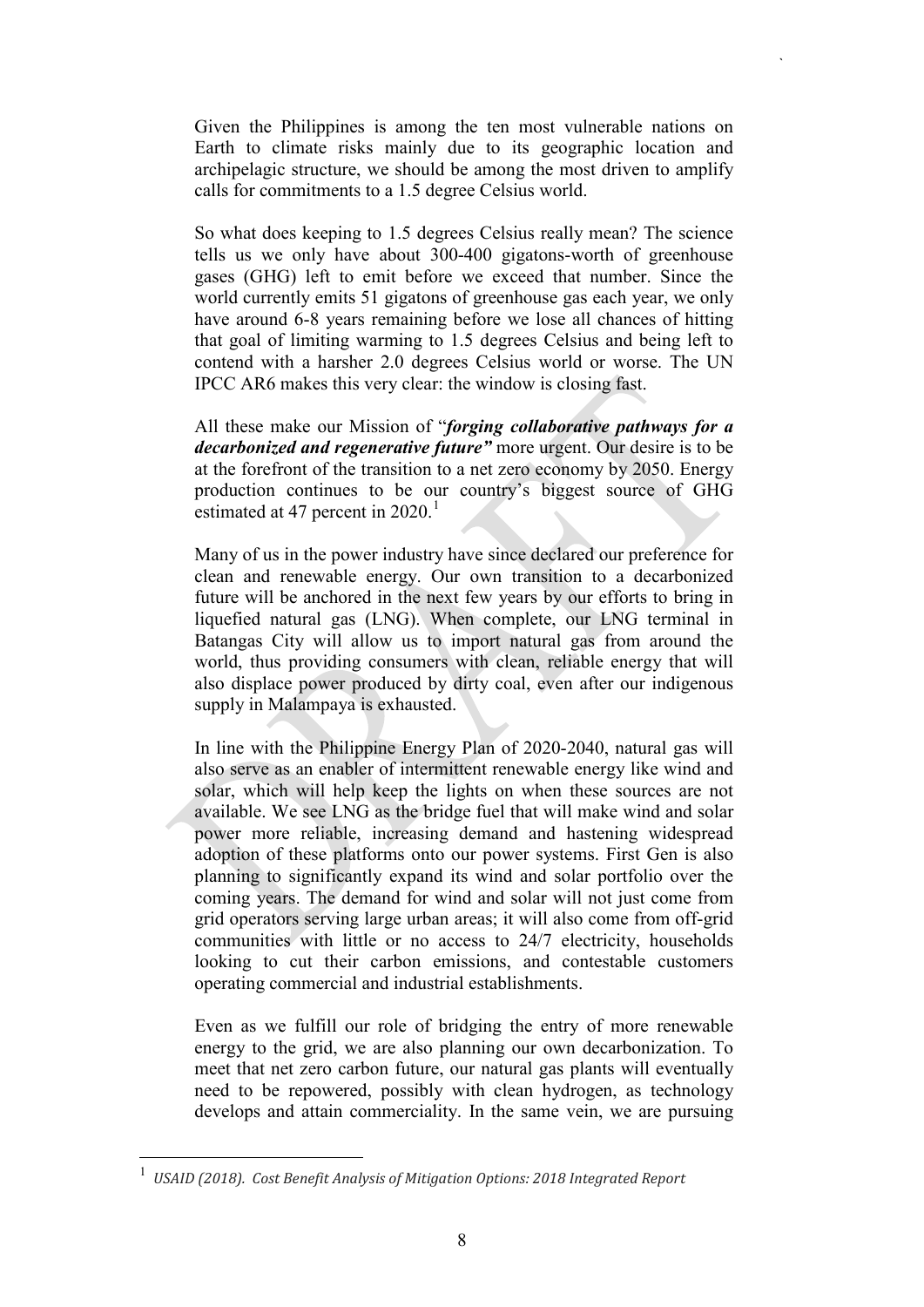Given the Philippines is among the ten most vulnerable nations on Earth to climate risks mainly due to its geographic location and archipelagic structure, we should be among the most driven to amplify calls for commitments to a 1.5 degree Celsius world.

`

So what does keeping to 1.5 degrees Celsius really mean? The science tells us we only have about 300-400 gigatons-worth of greenhouse gases (GHG) left to emit before we exceed that number. Since the world currently emits 51 gigatons of greenhouse gas each year, we only have around 6-8 years remaining before we lose all chances of hitting that goal of limiting warming to 1.5 degrees Celsius and being left to contend with a harsher 2.0 degrees Celsius world or worse. The UN IPCC AR6 makes this very clear: the window is closing fast.

All these make our Mission of "*forging collaborative pathways for a decarbonized and regenerative future"* more urgent. Our desire is to be at the forefront of the transition to a net zero economy by 2050. Energy production continues to be our country's biggest source of GHG estimated at 47 percent in  $2020$ .<sup>[1](#page-7-0)</sup>

Many of us in the power industry have since declared our preference for clean and renewable energy. Our own transition to a decarbonized future will be anchored in the next few years by our efforts to bring in liquefied natural gas (LNG). When complete, our LNG terminal in Batangas City will allow us to import natural gas from around the world, thus providing consumers with clean, reliable energy that will also displace power produced by dirty coal, even after our indigenous supply in Malampaya is exhausted.

In line with the Philippine Energy Plan of 2020-2040, natural gas will also serve as an enabler of intermittent renewable energy like wind and solar, which will help keep the lights on when these sources are not available. We see LNG as the bridge fuel that will make wind and solar power more reliable, increasing demand and hastening widespread adoption of these platforms onto our power systems. First Gen is also planning to significantly expand its wind and solar portfolio over the coming years. The demand for wind and solar will not just come from grid operators serving large urban areas; it will also come from off-grid communities with little or no access to 24/7 electricity, households looking to cut their carbon emissions, and contestable customers operating commercial and industrial establishments.

Even as we fulfill our role of bridging the entry of more renewable energy to the grid, we are also planning our own decarbonization. To meet that net zero carbon future, our natural gas plants will eventually need to be repowered, possibly with clean hydrogen, as technology develops and attain commerciality. In the same vein, we are pursuing

<span id="page-7-0"></span> <sup>1</sup> *USAID (2018). Cost Benefit Analysis of Mitigation Options: 2018 Integrated Report*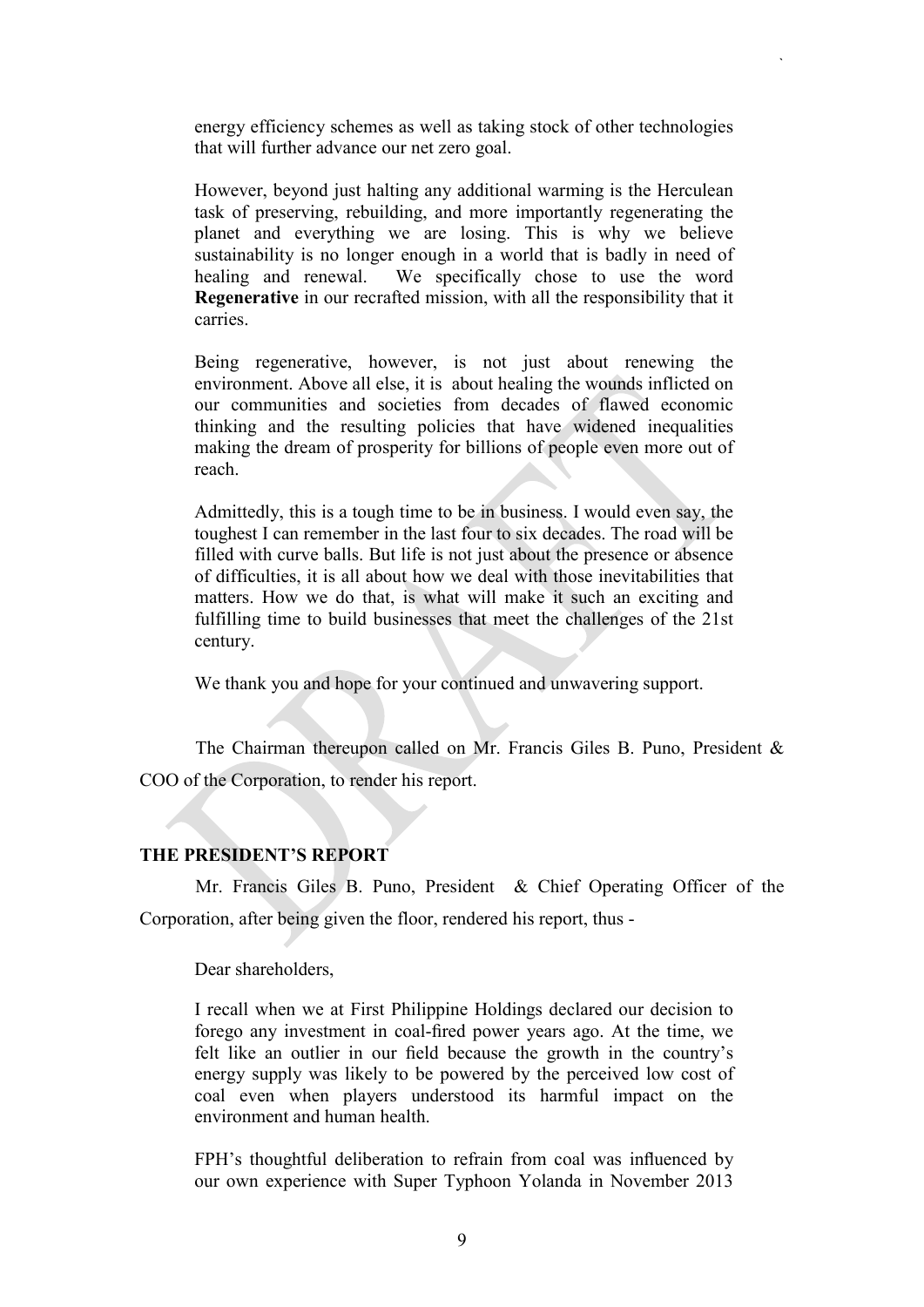energy efficiency schemes as well as taking stock of other technologies that will further advance our net zero goal.

`

However, beyond just halting any additional warming is the Herculean task of preserving, rebuilding, and more importantly regenerating the planet and everything we are losing. This is why we believe sustainability is no longer enough in a world that is badly in need of healing and renewal. We specifically chose to use the word **Regenerative** in our recrafted mission, with all the responsibility that it carries.

Being regenerative, however, is not just about renewing the environment. Above all else, it is about healing the wounds inflicted on our communities and societies from decades of flawed economic thinking and the resulting policies that have widened inequalities making the dream of prosperity for billions of people even more out of reach.

Admittedly, this is a tough time to be in business. I would even say, the toughest I can remember in the last four to six decades. The road will be filled with curve balls. But life is not just about the presence or absence of difficulties, it is all about how we deal with those inevitabilities that matters. How we do that, is what will make it such an exciting and fulfilling time to build businesses that meet the challenges of the 21st century.

We thank you and hope for your continued and unwavering support.

The Chairman thereupon called on Mr. Francis Giles B. Puno, President & COO of the Corporation, to render his report.

#### **THE PRESIDENT'S REPORT**

Mr. Francis Giles B. Puno, President & Chief Operating Officer of the Corporation, after being given the floor, rendered his report, thus -

Dear shareholders,

I recall when we at First Philippine Holdings declared our decision to forego any investment in coal-fired power years ago. At the time, we felt like an outlier in our field because the growth in the country's energy supply was likely to be powered by the perceived low cost of coal even when players understood its harmful impact on the environment and human health.

FPH's thoughtful deliberation to refrain from coal was influenced by our own experience with Super Typhoon Yolanda in November 2013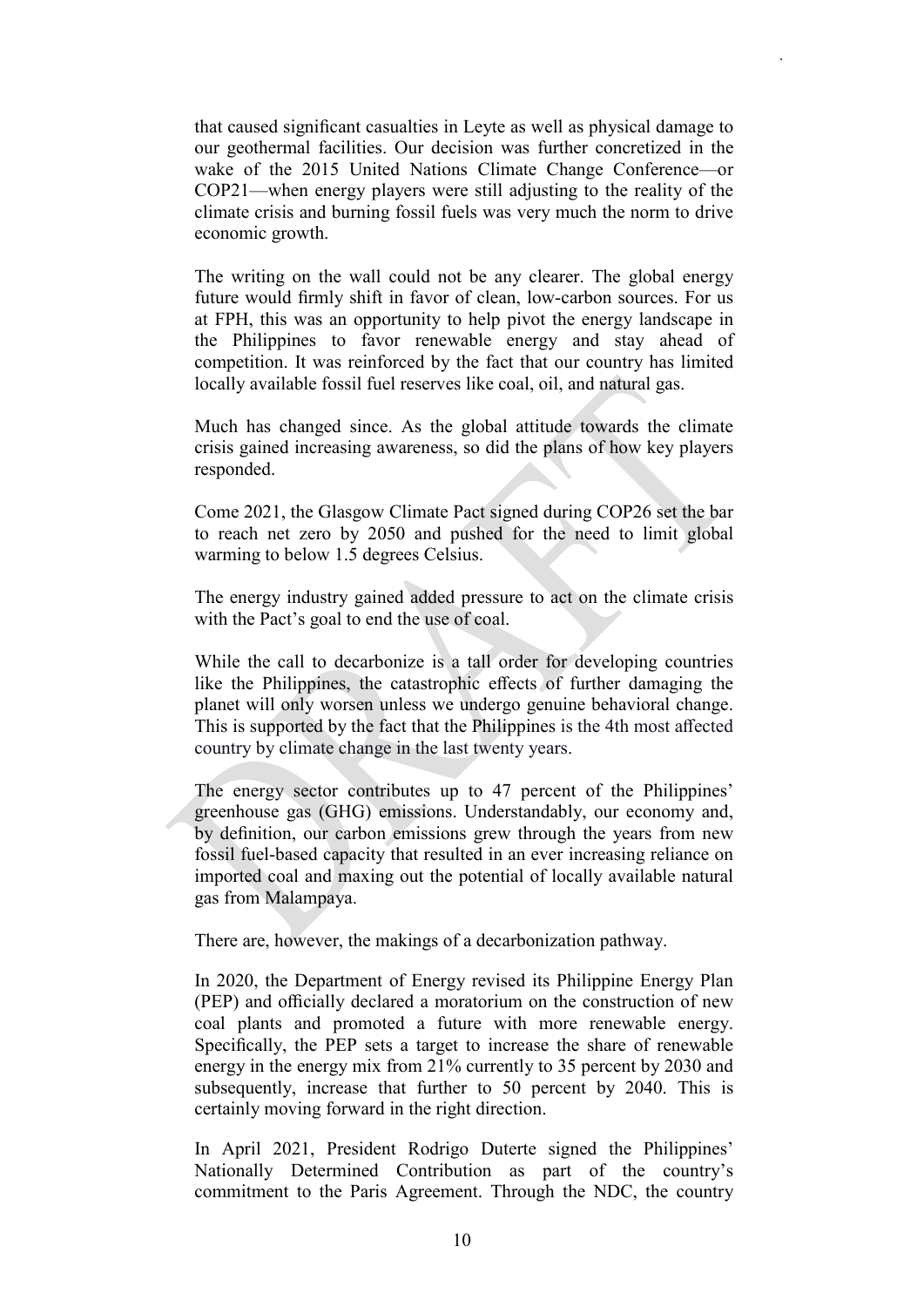that caused significant casualties in Leyte as well as physical damage to our geothermal facilities. Our decision was further concretized in the wake of the 2015 United Nations Climate Change Conference—or COP21—when energy players were still adjusting to the reality of the climate crisis and burning fossil fuels was very much the norm to drive economic growth.

`

The writing on the wall could not be any clearer. The global energy future would firmly shift in favor of clean, low-carbon sources. For us at FPH, this was an opportunity to help pivot the energy landscape in the Philippines to favor renewable energy and stay ahead of competition. It was reinforced by the fact that our country has limited locally available fossil fuel reserves like coal, oil, and natural gas.

Much has changed since. As the global attitude towards the climate crisis gained increasing awareness, so did the plans of how key players responded.

Come 2021, the Glasgow Climate Pact signed during COP26 set the bar to reach net zero by 2050 and pushed for the need to limit global warming to below 1.5 degrees Celsius.

The energy industry gained added pressure to act on the climate crisis with the Pact's goal to end the use of coal.

While the call to decarbonize is a tall order for developing countries like the Philippines, the catastrophic effects of further damaging the planet will only worsen unless we undergo genuine behavioral change. This is supported by the fact that the Philippines is the 4th most affected country by climate change in the last twenty years.

The energy sector contributes up to 47 percent of the Philippines' greenhouse gas (GHG) emissions. Understandably, our economy and, by definition, our carbon emissions grew through the years from new fossil fuel-based capacity that resulted in an ever increasing reliance on imported coal and maxing out the potential of locally available natural gas from Malampaya.

There are, however, the makings of a decarbonization pathway.

In 2020, the Department of Energy revised its Philippine Energy Plan (PEP) and officially declared a moratorium on the construction of new coal plants and promoted a future with more renewable energy. Specifically, the PEP sets a target to increase the share of renewable energy in the energy mix from 21% currently to 35 percent by 2030 and subsequently, increase that further to 50 percent by 2040. This is certainly moving forward in the right direction.

In April 2021, President Rodrigo Duterte signed the Philippines' Nationally Determined Contribution as part of the country's commitment to the Paris Agreement. Through the NDC, the country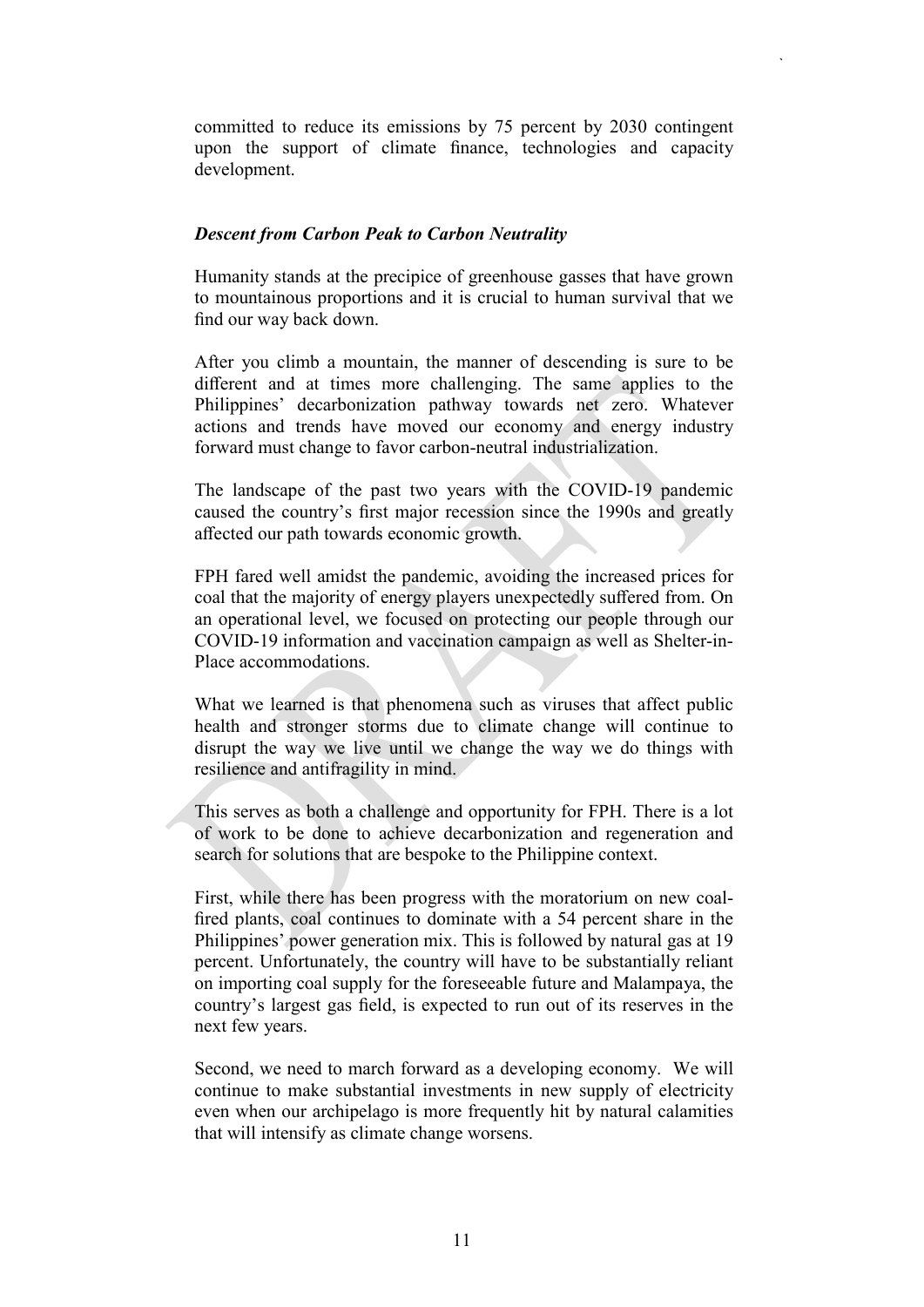committed to reduce its emissions by 75 percent by 2030 contingent upon the support of climate finance, technologies and capacity development.

`

#### *Descent from Carbon Peak to Carbon Neutrality*

Humanity stands at the precipice of greenhouse gasses that have grown to mountainous proportions and it is crucial to human survival that we find our way back down.

After you climb a mountain, the manner of descending is sure to be different and at times more challenging. The same applies to the Philippines' decarbonization pathway towards net zero. Whatever actions and trends have moved our economy and energy industry forward must change to favor carbon-neutral industrialization.

The landscape of the past two years with the COVID-19 pandemic caused the country's first major recession since the 1990s and greatly affected our path towards economic growth.

FPH fared well amidst the pandemic, avoiding the increased prices for coal that the majority of energy players unexpectedly suffered from. On an operational level, we focused on protecting our people through our COVID-19 information and vaccination campaign as well as Shelter-in-Place accommodations.

What we learned is that phenomena such as viruses that affect public health and stronger storms due to climate change will continue to disrupt the way we live until we change the way we do things with resilience and antifragility in mind.

This serves as both a challenge and opportunity for FPH. There is a lot of work to be done to achieve decarbonization and regeneration and search for solutions that are bespoke to the Philippine context.

First, while there has been progress with the moratorium on new coalfired plants, coal continues to dominate with a 54 percent share in the Philippines' power generation mix. This is followed by natural gas at 19 percent. Unfortunately, the country will have to be substantially reliant on importing coal supply for the foreseeable future and Malampaya, the country's largest gas field, is expected to run out of its reserves in the next few years.

Second, we need to march forward as a developing economy. We will continue to make substantial investments in new supply of electricity even when our archipelago is more frequently hit by natural calamities that will intensify as climate change worsens.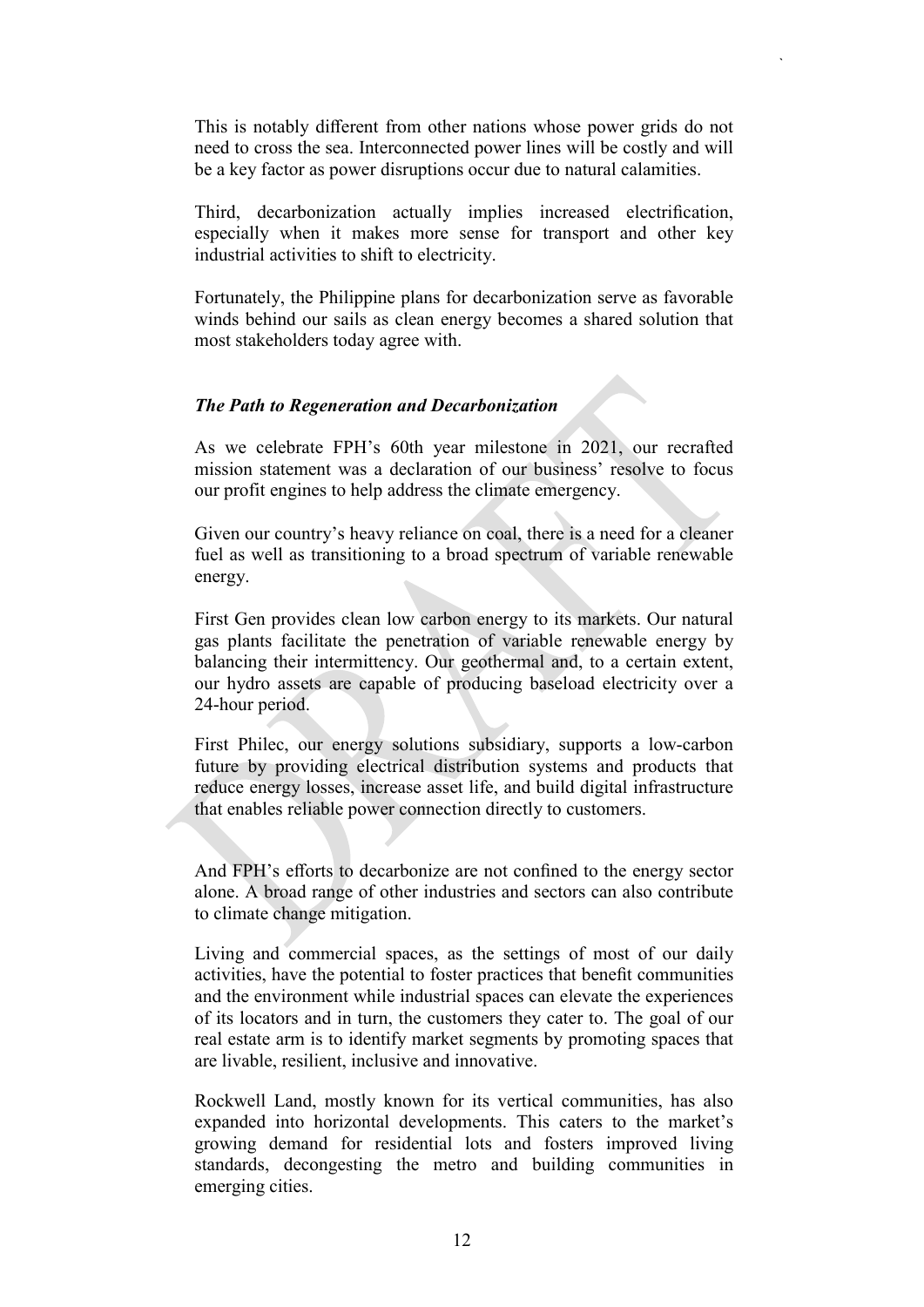This is notably different from other nations whose power grids do not need to cross the sea. Interconnected power lines will be costly and will be a key factor as power disruptions occur due to natural calamities.

`

Third, decarbonization actually implies increased electrification, especially when it makes more sense for transport and other key industrial activities to shift to electricity.

Fortunately, the Philippine plans for decarbonization serve as favorable winds behind our sails as clean energy becomes a shared solution that most stakeholders today agree with.

#### *The Path to Regeneration and Decarbonization*

As we celebrate FPH's 60th year milestone in 2021, our recrafted mission statement was a declaration of our business' resolve to focus our profit engines to help address the climate emergency.

Given our country's heavy reliance on coal, there is a need for a cleaner fuel as well as transitioning to a broad spectrum of variable renewable energy.

First Gen provides clean low carbon energy to its markets. Our natural gas plants facilitate the penetration of variable renewable energy by balancing their intermittency. Our geothermal and, to a certain extent, our hydro assets are capable of producing baseload electricity over a 24-hour period.

First Philec, our energy solutions subsidiary, supports a low-carbon future by providing electrical distribution systems and products that reduce energy losses, increase asset life, and build digital infrastructure that enables reliable power connection directly to customers.

And FPH's efforts to decarbonize are not confined to the energy sector alone. A broad range of other industries and sectors can also contribute to climate change mitigation.

Living and commercial spaces, as the settings of most of our daily activities, have the potential to foster practices that benefit communities and the environment while industrial spaces can elevate the experiences of its locators and in turn, the customers they cater to. The goal of our real estate arm is to identify market segments by promoting spaces that are livable, resilient, inclusive and innovative.

Rockwell Land, mostly known for its vertical communities, has also expanded into horizontal developments. This caters to the market's growing demand for residential lots and fosters improved living standards, decongesting the metro and building communities in emerging cities.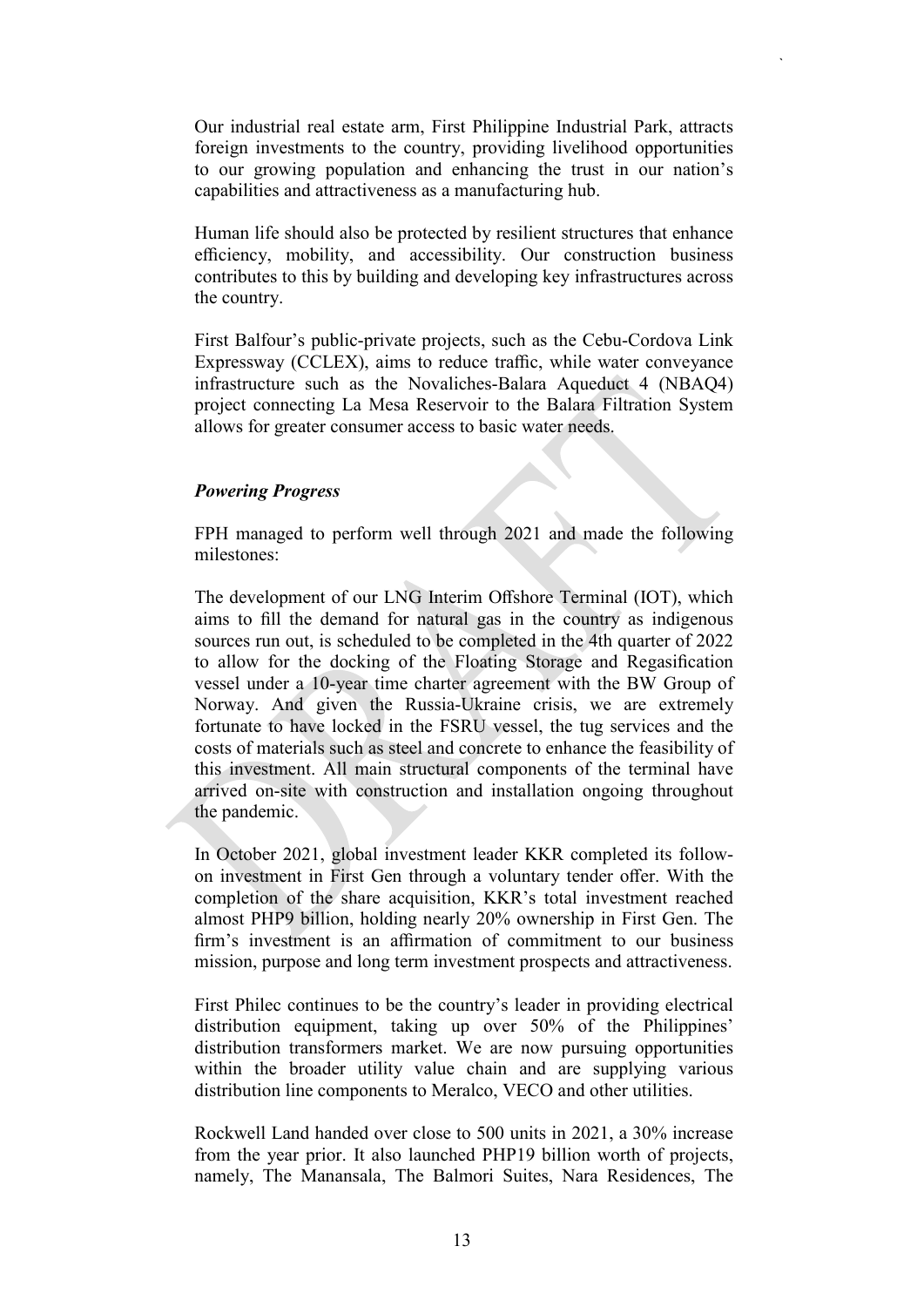Our industrial real estate arm, First Philippine Industrial Park, attracts foreign investments to the country, providing livelihood opportunities to our growing population and enhancing the trust in our nation's capabilities and attractiveness as a manufacturing hub.

`

Human life should also be protected by resilient structures that enhance efficiency, mobility, and accessibility. Our construction business contributes to this by building and developing key infrastructures across the country.

First Balfour's public-private projects, such as the Cebu-Cordova Link Expressway (CCLEX), aims to reduce traffic, while water conveyance infrastructure such as the Novaliches-Balara Aqueduct 4 (NBAQ4) project connecting La Mesa Reservoir to the Balara Filtration System allows for greater consumer access to basic water needs.

## *Powering Progress*

FPH managed to perform well through 2021 and made the following milestones:

The development of our LNG Interim Offshore Terminal (IOT), which aims to fill the demand for natural gas in the country as indigenous sources run out, is scheduled to be completed in the 4th quarter of 2022 to allow for the docking of the Floating Storage and Regasification vessel under a 10-year time charter agreement with the BW Group of Norway. And given the Russia-Ukraine crisis, we are extremely fortunate to have locked in the FSRU vessel, the tug services and the costs of materials such as steel and concrete to enhance the feasibility of this investment. All main structural components of the terminal have arrived on-site with construction and installation ongoing throughout the pandemic.

In October 2021, global investment leader KKR completed its followon investment in First Gen through a voluntary tender offer. With the completion of the share acquisition, KKR's total investment reached almost PHP9 billion, holding nearly 20% ownership in First Gen. The firm's investment is an affirmation of commitment to our business mission, purpose and long term investment prospects and attractiveness.

First Philec continues to be the country's leader in providing electrical distribution equipment, taking up over 50% of the Philippines' distribution transformers market. We are now pursuing opportunities within the broader utility value chain and are supplying various distribution line components to Meralco, VECO and other utilities.

Rockwell Land handed over close to 500 units in 2021, a 30% increase from the year prior. It also launched PHP19 billion worth of projects, namely, The Manansala, The Balmori Suites, Nara Residences, The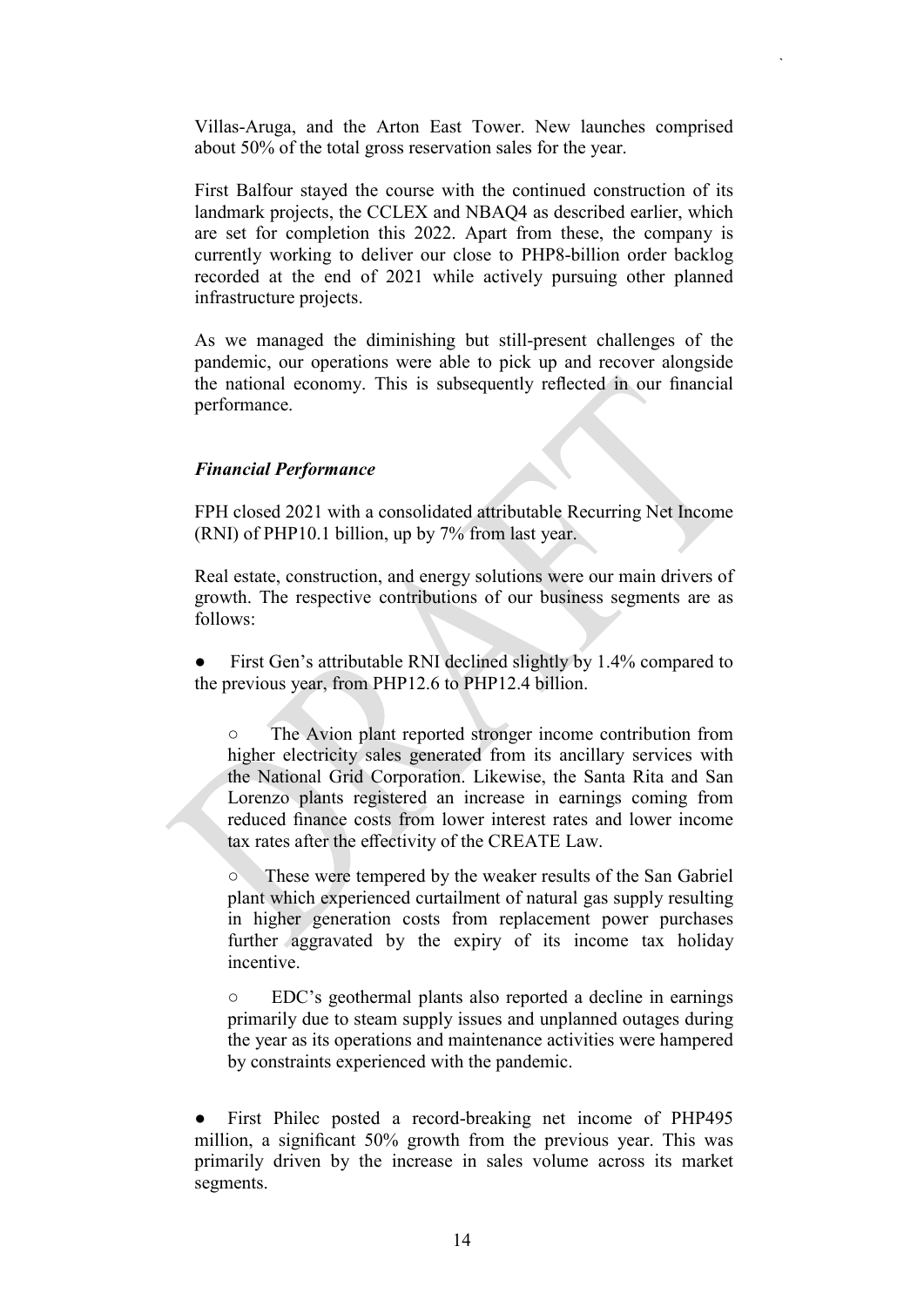Villas-Aruga, and the Arton East Tower. New launches comprised about 50% of the total gross reservation sales for the year.

`

First Balfour stayed the course with the continued construction of its landmark projects, the CCLEX and NBAQ4 as described earlier, which are set for completion this 2022. Apart from these, the company is currently working to deliver our close to PHP8-billion order backlog recorded at the end of 2021 while actively pursuing other planned infrastructure projects.

As we managed the diminishing but still-present challenges of the pandemic, our operations were able to pick up and recover alongside the national economy. This is subsequently reflected in our financial performance.

## *Financial Performance*

FPH closed 2021 with a consolidated attributable Recurring Net Income (RNI) of PHP10.1 billion, up by 7% from last year.

Real estate, construction, and energy solutions were our main drivers of growth. The respective contributions of our business segments are as follows:

• First Gen's attributable RNI declined slightly by 1.4% compared to the previous year, from PHP12.6 to PHP12.4 billion.

○ The Avion plant reported stronger income contribution from higher electricity sales generated from its ancillary services with the National Grid Corporation. Likewise, the Santa Rita and San Lorenzo plants registered an increase in earnings coming from reduced finance costs from lower interest rates and lower income tax rates after the effectivity of the CREATE Law.

○ These were tempered by the weaker results of the San Gabriel plant which experienced curtailment of natural gas supply resulting in higher generation costs from replacement power purchases further aggravated by the expiry of its income tax holiday incentive.

○ EDC's geothermal plants also reported a decline in earnings primarily due to steam supply issues and unplanned outages during the year as its operations and maintenance activities were hampered by constraints experienced with the pandemic.

First Philec posted a record-breaking net income of PHP495 million, a significant 50% growth from the previous year. This was primarily driven by the increase in sales volume across its market segments.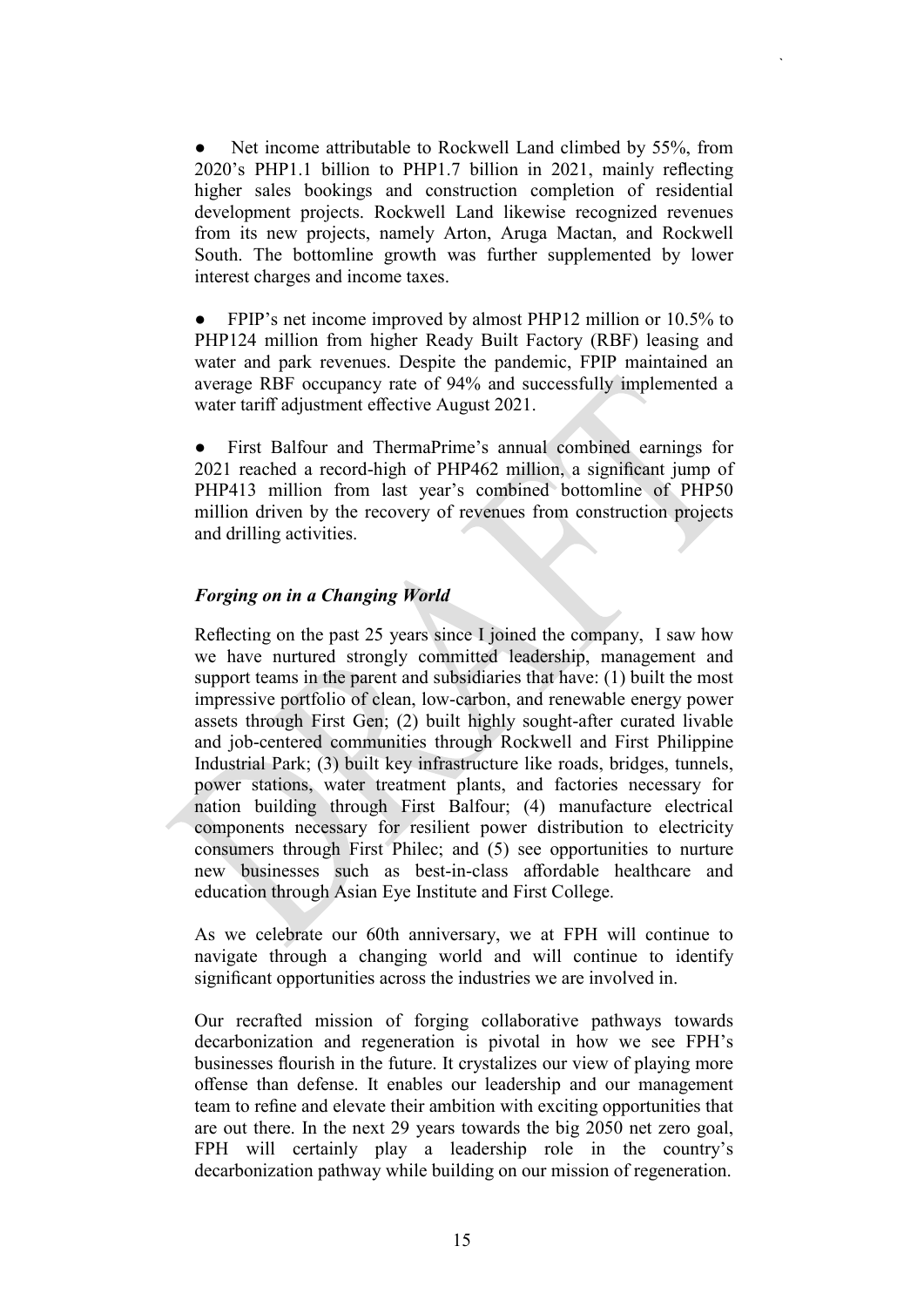Net income attributable to Rockwell Land climbed by 55%, from 2020's PHP1.1 billion to PHP1.7 billion in 2021, mainly reflecting higher sales bookings and construction completion of residential development projects. Rockwell Land likewise recognized revenues from its new projects, namely Arton, Aruga Mactan, and Rockwell South. The bottomline growth was further supplemented by lower interest charges and income taxes.

`

FPIP's net income improved by almost PHP12 million or 10.5% to PHP124 million from higher Ready Built Factory (RBF) leasing and water and park revenues. Despite the pandemic, FPIP maintained an average RBF occupancy rate of 94% and successfully implemented a water tariff adjustment effective August 2021.

First Balfour and ThermaPrime's annual combined earnings for 2021 reached a record-high of PHP462 million, a significant jump of PHP413 million from last year's combined bottomline of PHP50 million driven by the recovery of revenues from construction projects and drilling activities.

## *Forging on in a Changing World*

Reflecting on the past 25 years since I joined the company, I saw how we have nurtured strongly committed leadership, management and support teams in the parent and subsidiaries that have: (1) built the most impressive portfolio of clean, low-carbon, and renewable energy power assets through First Gen; (2) built highly sought-after curated livable and job-centered communities through Rockwell and First Philippine Industrial Park; (3) built key infrastructure like roads, bridges, tunnels, power stations, water treatment plants, and factories necessary for nation building through First Balfour; (4) manufacture electrical components necessary for resilient power distribution to electricity consumers through First Philec; and (5) see opportunities to nurture new businesses such as best-in-class affordable healthcare and education through Asian Eye Institute and First College.

As we celebrate our 60th anniversary, we at FPH will continue to navigate through a changing world and will continue to identify significant opportunities across the industries we are involved in.

Our recrafted mission of forging collaborative pathways towards decarbonization and regeneration is pivotal in how we see FPH's businesses flourish in the future. It crystalizes our view of playing more offense than defense. It enables our leadership and our management team to refine and elevate their ambition with exciting opportunities that are out there. In the next 29 years towards the big 2050 net zero goal, FPH will certainly play a leadership role in the country's decarbonization pathway while building on our mission of regeneration.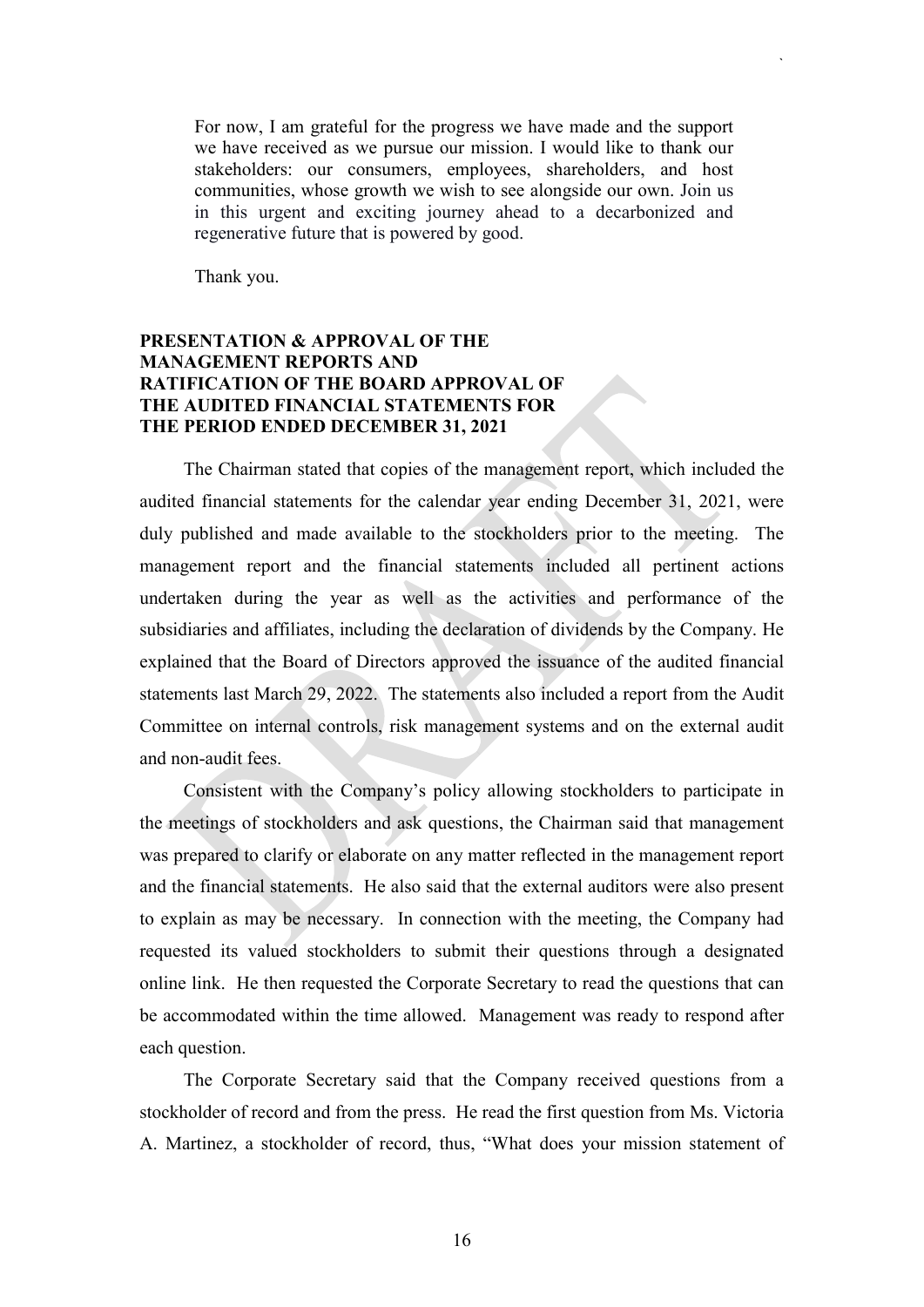For now, I am grateful for the progress we have made and the support we have received as we pursue our mission. I would like to thank our stakeholders: our consumers, employees, shareholders, and host communities, whose growth we wish to see alongside our own. Join us in this urgent and exciting journey ahead to a decarbonized and regenerative future that is powered by good.

`

Thank you.

## **PRESENTATION & APPROVAL OF THE MANAGEMENT REPORTS AND RATIFICATION OF THE BOARD APPROVAL OF THE AUDITED FINANCIAL STATEMENTS FOR THE PERIOD ENDED DECEMBER 31, 2021**

The Chairman stated that copies of the management report, which included the audited financial statements for the calendar year ending December 31, 2021, were duly published and made available to the stockholders prior to the meeting. The management report and the financial statements included all pertinent actions undertaken during the year as well as the activities and performance of the subsidiaries and affiliates, including the declaration of dividends by the Company. He explained that the Board of Directors approved the issuance of the audited financial statements last March 29, 2022. The statements also included a report from the Audit Committee on internal controls, risk management systems and on the external audit and non-audit fees.

Consistent with the Company's policy allowing stockholders to participate in the meetings of stockholders and ask questions, the Chairman said that management was prepared to clarify or elaborate on any matter reflected in the management report and the financial statements. He also said that the external auditors were also present to explain as may be necessary. In connection with the meeting, the Company had requested its valued stockholders to submit their questions through a designated online link. He then requested the Corporate Secretary to read the questions that can be accommodated within the time allowed. Management was ready to respond after each question.

The Corporate Secretary said that the Company received questions from a stockholder of record and from the press. He read the first question from Ms. Victoria A. Martinez, a stockholder of record, thus, "What does your mission statement of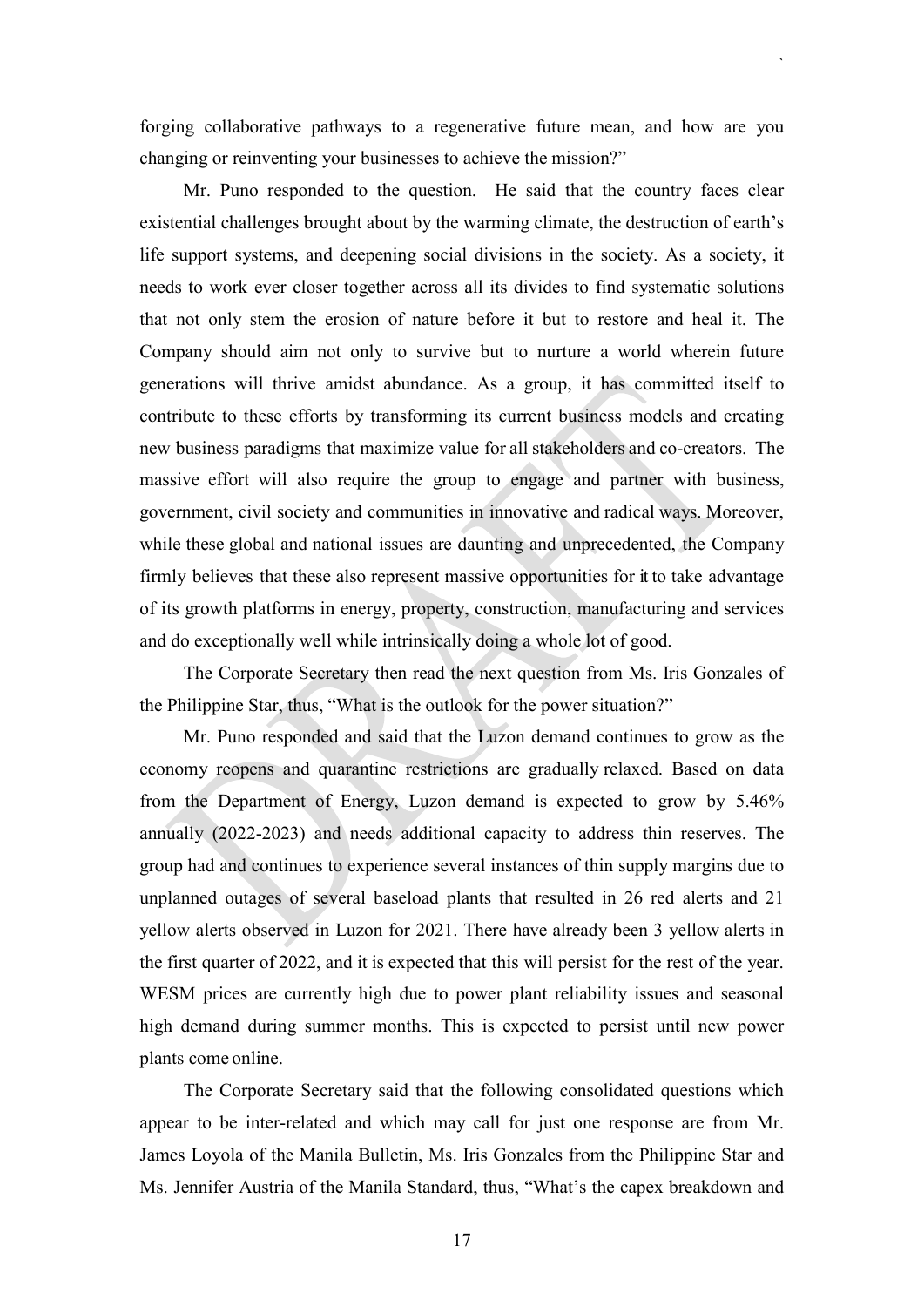forging collaborative pathways to a regenerative future mean, and how are you changing or reinventing your businesses to achieve the mission?"

`

Mr. Puno responded to the question. He said that the country faces clear existential challenges brought about by the warming climate, the destruction of earth's life support systems, and deepening social divisions in the society. As a society, it needs to work ever closer together across all its divides to find systematic solutions that not only stem the erosion of nature before it but to restore and heal it. The Company should aim not only to survive but to nurture a world wherein future generations will thrive amidst abundance. As a group, it has committed itself to contribute to these efforts by transforming its current business models and creating new business paradigms that maximize value for all stakeholders and co-creators. The massive effort will also require the group to engage and partner with business, government, civil society and communities in innovative and radical ways. Moreover, while these global and national issues are daunting and unprecedented, the Company firmly believes that these also represent massive opportunities for it to take advantage of its growth platforms in energy, property, construction, manufacturing and services and do exceptionally well while intrinsically doing a whole lot of good.

The Corporate Secretary then read the next question from Ms. Iris Gonzales of the Philippine Star, thus, "What is the outlook for the power situation?"

Mr. Puno responded and said that the Luzon demand continues to grow as the economy reopens and quarantine restrictions are gradually relaxed. Based on data from the Department of Energy, Luzon demand is expected to grow by 5.46% annually (2022-2023) and needs additional capacity to address thin reserves. The group had and continues to experience several instances of thin supply margins due to unplanned outages of several baseload plants that resulted in 26 red alerts and 21 yellow alerts observed in Luzon for 2021. There have already been 3 yellow alerts in the first quarter of 2022, and it is expected that this will persist for the rest of the year. WESM prices are currently high due to power plant reliability issues and seasonal high demand during summer months. This is expected to persist until new power plants come online.

The Corporate Secretary said that the following consolidated questions which appear to be inter-related and which may call for just one response are from Mr. James Loyola of the Manila Bulletin, Ms. Iris Gonzales from the Philippine Star and Ms. Jennifer Austria of the Manila Standard, thus, "What's the capex breakdown and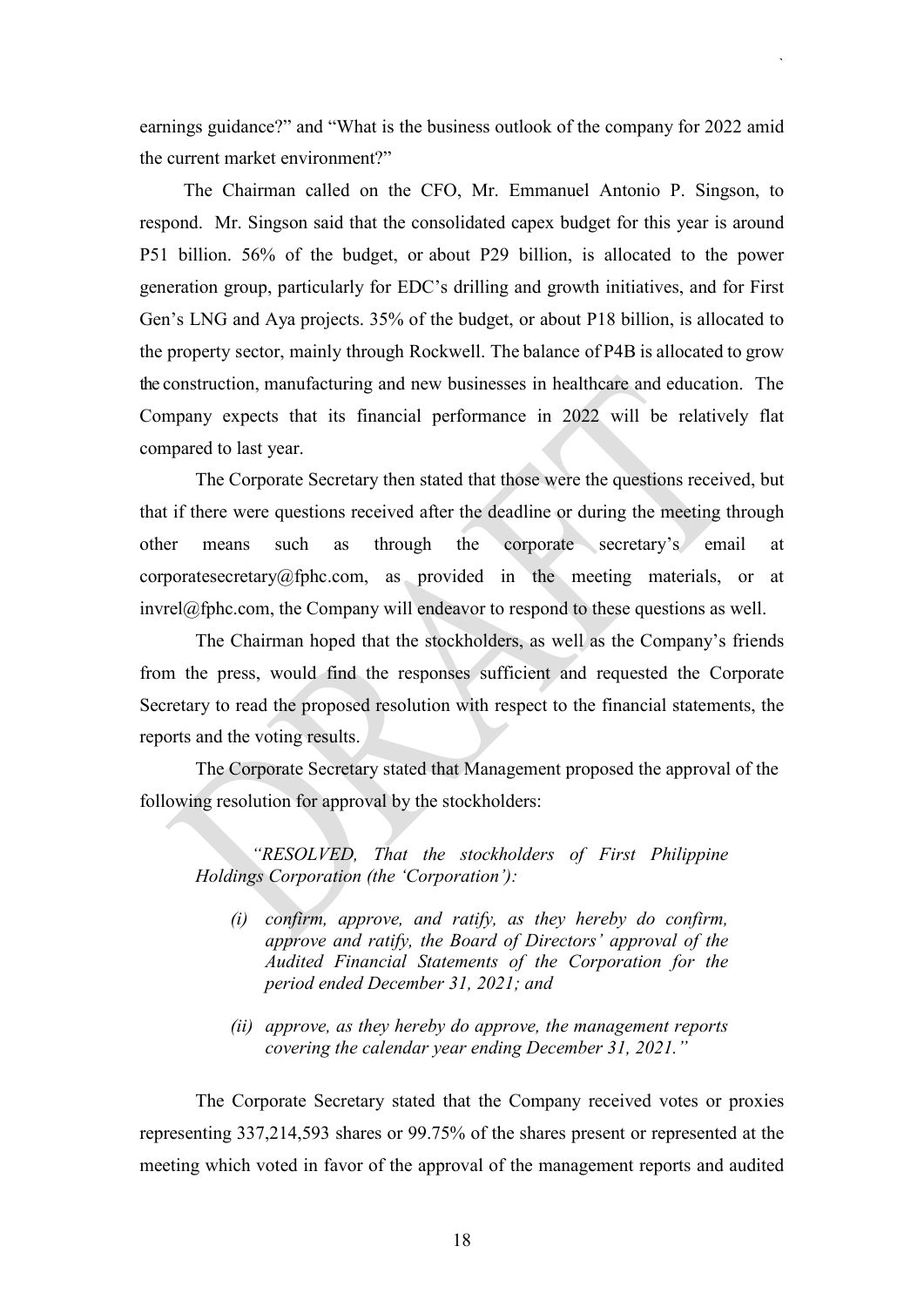earnings guidance?" and "What is the business outlook of the company for 2022 amid the current market environment?"

`

The Chairman called on the CFO, Mr. Emmanuel Antonio P. Singson, to respond. Mr. Singson said that the consolidated capex budget for this year is around P51 billion. 56% of the budget, or about P29 billion, is allocated to the power generation group, particularly for EDC's drilling and growth initiatives, and for First Gen's LNG and Aya projects. 35% of the budget, or about P18 billion, is allocated to the property sector, mainly through Rockwell. The balance of P4B is allocated to grow the construction, manufacturing and new businesses in healthcare and education. The Company expects that its financial performance in 2022 will be relatively flat compared to last year.

The Corporate Secretary then stated that those were the questions received, but that if there were questions received after the deadline or during the meeting through other means such as through the corporate secretary's email at corporatesecretary@fphc.com, as provided in the meeting materials, or at  $invrel@fphc.com$ , the Company will endeavor to respond to these questions as well.

The Chairman hoped that the stockholders, as well as the Company's friends from the press, would find the responses sufficient and requested the Corporate Secretary to read the proposed resolution with respect to the financial statements, the reports and the voting results.

The Corporate Secretary stated that Management proposed the approval of the following resolution for approval by the stockholders:

*"RESOLVED, That the stockholders of First Philippine Holdings Corporation (the 'Corporation'):* 

- *(i) confirm, approve, and ratify, as they hereby do confirm, approve and ratify, the Board of Directors' approval of the Audited Financial Statements of the Corporation for the period ended December 31, 2021; and*
- *(ii) approve, as they hereby do approve, the management reports covering the calendar year ending December 31, 2021."*

The Corporate Secretary stated that the Company received votes or proxies representing 337,214,593 shares or 99.75% of the shares present or represented at the meeting which voted in favor of the approval of the management reports and audited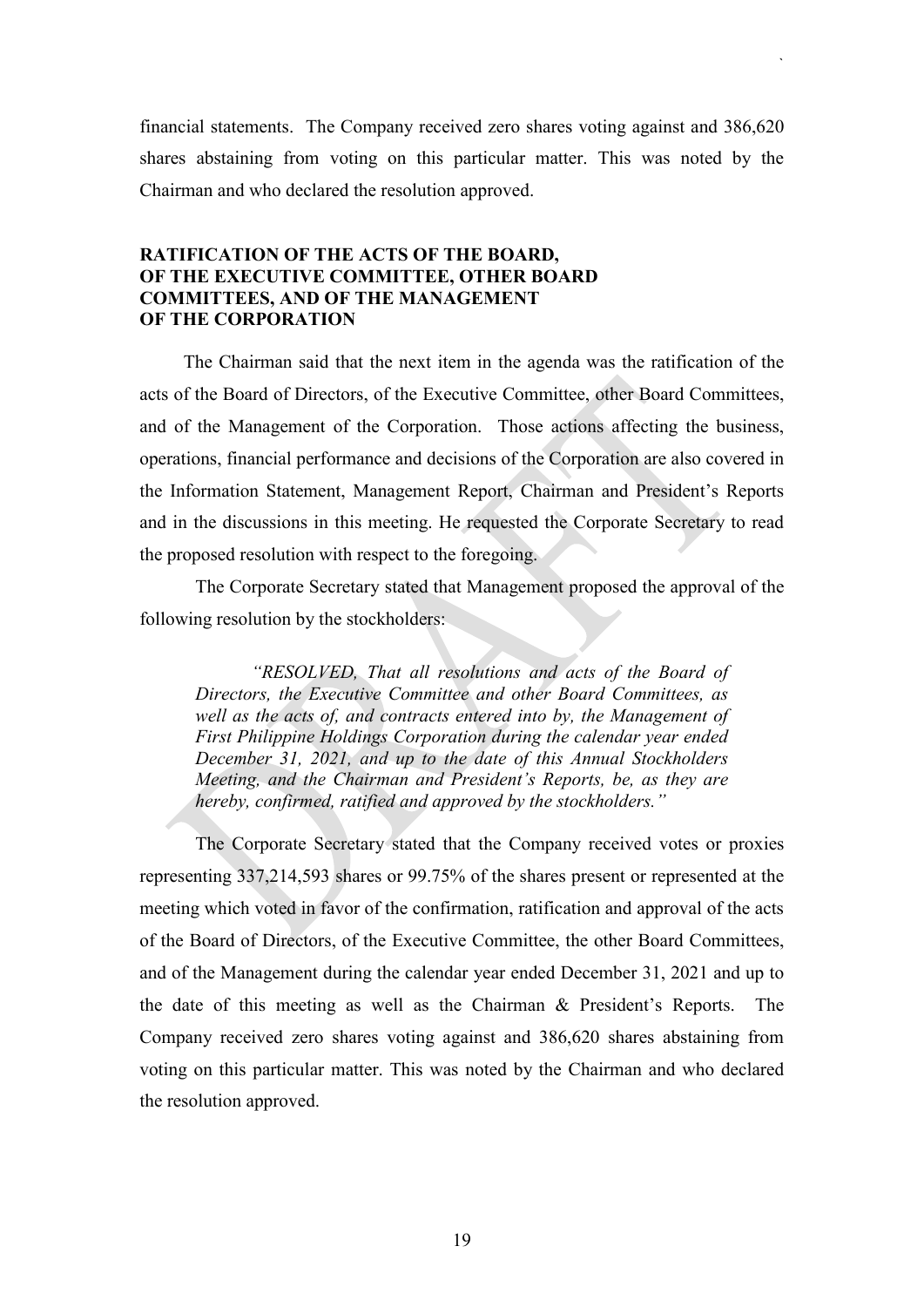financial statements. The Company received zero shares voting against and 386,620 shares abstaining from voting on this particular matter. This was noted by the Chairman and who declared the resolution approved.

`

### **RATIFICATION OF THE ACTS OF THE BOARD, OF THE EXECUTIVE COMMITTEE, OTHER BOARD COMMITTEES, AND OF THE MANAGEMENT OF THE CORPORATION**

The Chairman said that the next item in the agenda was the ratification of the acts of the Board of Directors, of the Executive Committee, other Board Committees, and of the Management of the Corporation. Those actions affecting the business, operations, financial performance and decisions of the Corporation are also covered in the Information Statement, Management Report, Chairman and President's Reports and in the discussions in this meeting. He requested the Corporate Secretary to read the proposed resolution with respect to the foregoing.

The Corporate Secretary stated that Management proposed the approval of the following resolution by the stockholders:

*"RESOLVED, That all resolutions and acts of the Board of Directors, the Executive Committee and other Board Committees, as well as the acts of, and contracts entered into by, the Management of First Philippine Holdings Corporation during the calendar year ended December 31, 2021, and up to the date of this Annual Stockholders Meeting, and the Chairman and President's Reports, be, as they are hereby, confirmed, ratified and approved by the stockholders."*

The Corporate Secretary stated that the Company received votes or proxies representing 337,214,593 shares or 99.75% of the shares present or represented at the meeting which voted in favor of the confirmation, ratification and approval of the acts of the Board of Directors, of the Executive Committee, the other Board Committees, and of the Management during the calendar year ended December 31, 2021 and up to the date of this meeting as well as the Chairman & President's Reports. The Company received zero shares voting against and 386,620 shares abstaining from voting on this particular matter. This was noted by the Chairman and who declared the resolution approved.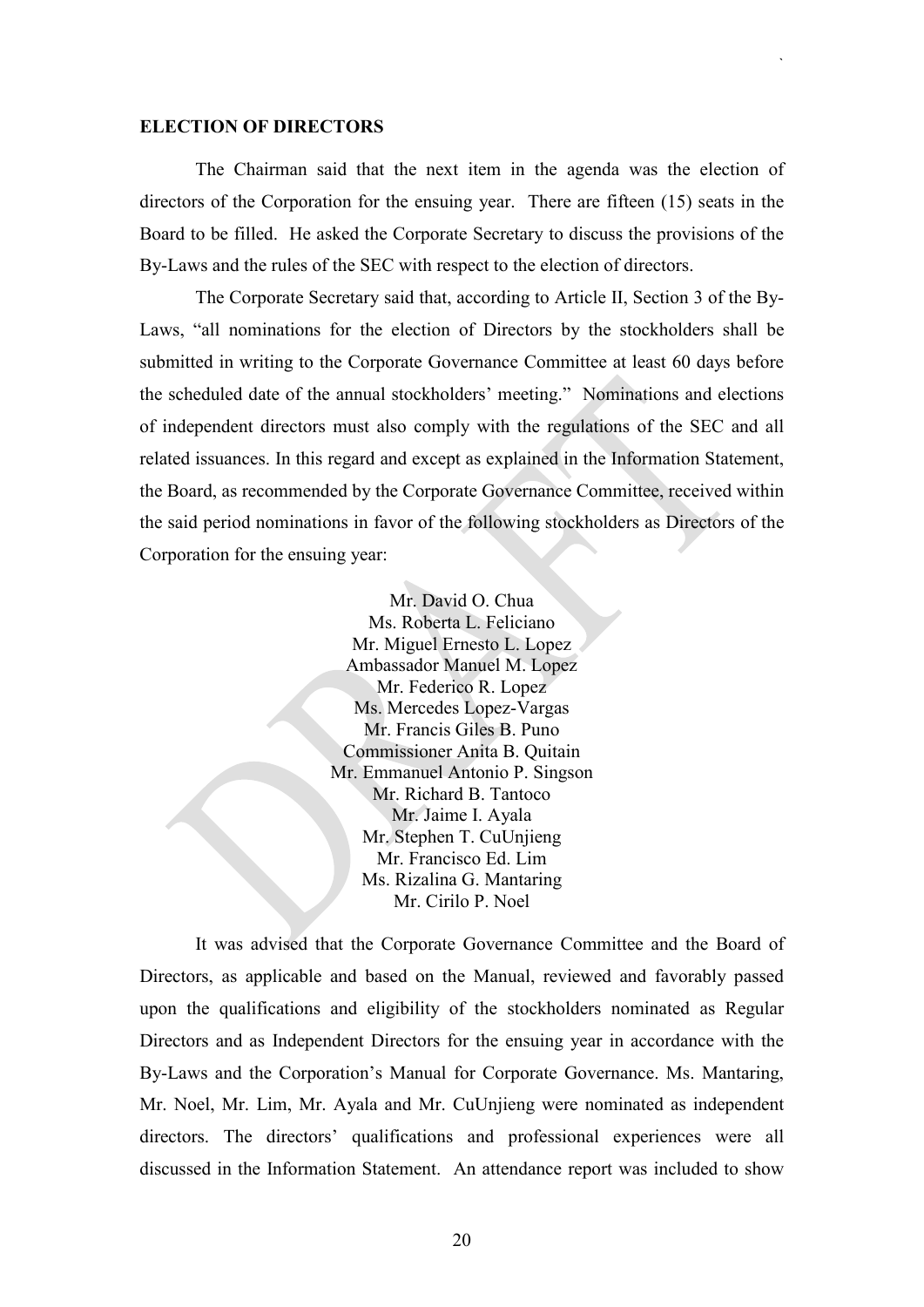#### **ELECTION OF DIRECTORS**

The Chairman said that the next item in the agenda was the election of directors of the Corporation for the ensuing year. There are fifteen (15) seats in the Board to be filled. He asked the Corporate Secretary to discuss the provisions of the By-Laws and the rules of the SEC with respect to the election of directors.

`

The Corporate Secretary said that, according to Article II, Section 3 of the By-Laws, "all nominations for the election of Directors by the stockholders shall be submitted in writing to the Corporate Governance Committee at least 60 days before the scheduled date of the annual stockholders' meeting." Nominations and elections of independent directors must also comply with the regulations of the SEC and all related issuances. In this regard and except as explained in the Information Statement, the Board, as recommended by the Corporate Governance Committee, received within the said period nominations in favor of the following stockholders as Directors of the Corporation for the ensuing year:

> Mr. David O. Chua Ms. Roberta L. Feliciano Mr. Miguel Ernesto L. Lopez Ambassador Manuel M. Lopez Mr. Federico R. Lopez Ms. Mercedes Lopez-Vargas Mr. Francis Giles B. Puno Commissioner Anita B. Quitain Mr. Emmanuel Antonio P. Singson Mr. Richard B. Tantoco Mr. Jaime I. Ayala Mr. Stephen T. CuUnjieng Mr. Francisco Ed. Lim Ms. Rizalina G. Mantaring Mr. Cirilo P. Noel

It was advised that the Corporate Governance Committee and the Board of Directors, as applicable and based on the Manual, reviewed and favorably passed upon the qualifications and eligibility of the stockholders nominated as Regular Directors and as Independent Directors for the ensuing year in accordance with the By-Laws and the Corporation's Manual for Corporate Governance. Ms. Mantaring, Mr. Noel, Mr. Lim, Mr. Ayala and Mr. CuUnjieng were nominated as independent directors. The directors' qualifications and professional experiences were all discussed in the Information Statement. An attendance report was included to show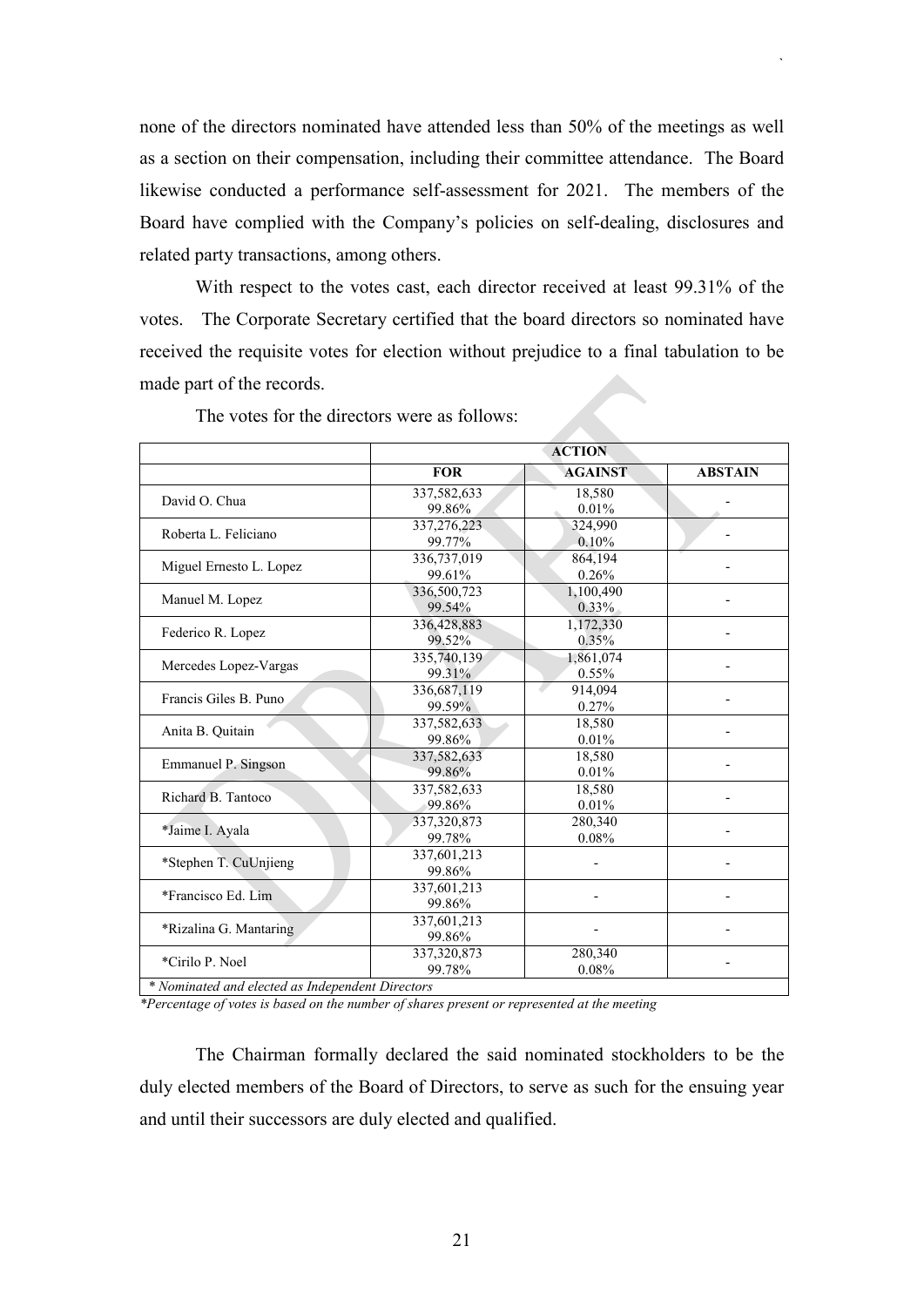none of the directors nominated have attended less than 50% of the meetings as well as a section on their compensation, including their committee attendance. The Board likewise conducted a performance self-assessment for 2021. The members of the Board have complied with the Company's policies on self-dealing, disclosures and related party transactions, among others.

`

With respect to the votes cast, each director received at least 99.31% of the votes. The Corporate Secretary certified that the board directors so nominated have received the requisite votes for election without prejudice to a final tabulation to be made part of the records.

|                                                  |             | <b>ACTION</b>  |                |  |  |  |
|--------------------------------------------------|-------------|----------------|----------------|--|--|--|
|                                                  | <b>FOR</b>  | <b>AGAINST</b> | <b>ABSTAIN</b> |  |  |  |
|                                                  | 337,582,633 | 18.580         |                |  |  |  |
| David O. Chua                                    | 99.86%      | 0.01%          |                |  |  |  |
|                                                  | 337,276,223 | 324,990        |                |  |  |  |
| Roberta L. Feliciano                             | 99.77%      | 0.10%          |                |  |  |  |
|                                                  | 336,737,019 | 864,194        |                |  |  |  |
| Miguel Ernesto L. Lopez                          | 99.61%      | 0.26%          |                |  |  |  |
|                                                  | 336,500,723 | 1,100,490      |                |  |  |  |
| Manuel M. Lopez                                  | 99.54%      | 0.33%          |                |  |  |  |
| Federico R. Lopez                                | 336,428,883 | 1,172,330      |                |  |  |  |
|                                                  | 99.52%      | $0.35\%$       |                |  |  |  |
|                                                  | 335,740,139 | 1,861,074      |                |  |  |  |
| Mercedes Lopez-Vargas                            | 99.31%      | $0.55\%$       |                |  |  |  |
| Francis Giles B. Puno                            | 336,687,119 | 914,094        |                |  |  |  |
|                                                  | 99.59%      | 0.27%          |                |  |  |  |
| Anita B. Quitain                                 | 337,582,633 | 18,580         |                |  |  |  |
|                                                  | 99.86%      | 0.01%          |                |  |  |  |
| Emmanuel P. Singson                              | 337,582,633 | 18,580         |                |  |  |  |
|                                                  | 99.86%      | 0.01%          |                |  |  |  |
| Richard B. Tantoco                               | 337,582,633 | 18,580         |                |  |  |  |
|                                                  | 99.86%      | 0.01%          |                |  |  |  |
| *Jaime I. Ayala                                  | 337,320,873 | 280,340        |                |  |  |  |
|                                                  | 99.78%      | 0.08%          |                |  |  |  |
| *Stephen T. CuUnjieng                            | 337,601,213 |                |                |  |  |  |
|                                                  | 99.86%      |                |                |  |  |  |
| *Francisco Ed. Lim                               | 337,601,213 |                |                |  |  |  |
|                                                  | 99.86%      |                |                |  |  |  |
| *Rizalina G. Mantaring                           | 337,601,213 |                |                |  |  |  |
|                                                  | 99.86%      |                |                |  |  |  |
| *Cirilo P. Noel                                  | 337,320,873 | 280,340        |                |  |  |  |
|                                                  | 99.78%      | 0.08%          |                |  |  |  |
| * Nominated and elected as Independent Directors |             |                |                |  |  |  |

The votes for the directors were as follows:

*\* Nominated and elected as Independent Directors*

*\*Percentage of votes is based on the number of shares present or represented at the meeting*

The Chairman formally declared the said nominated stockholders to be the duly elected members of the Board of Directors, to serve as such for the ensuing year and until their successors are duly elected and qualified.